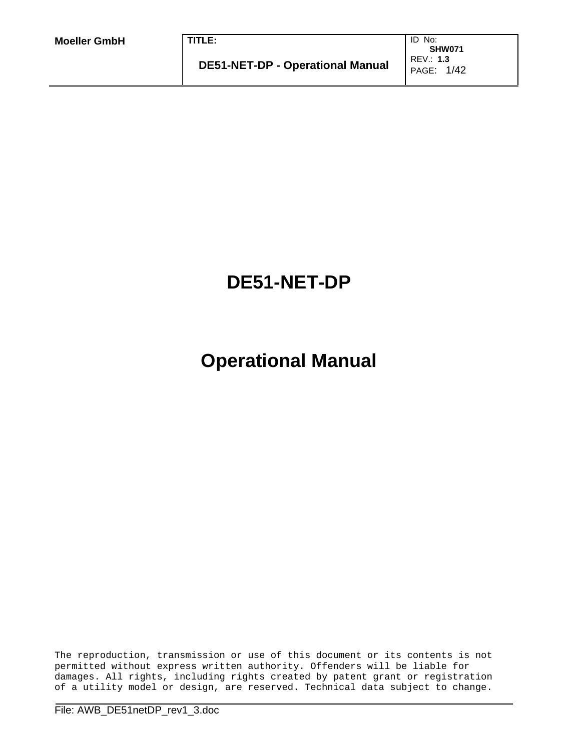# **DE51-NET-DP**

# **Operational Manual**

The reproduction, transmission or use of this document or its contents is not permitted without express written authority. Offenders will be liable for damages. All rights, including rights created by patent grant or registration of a utility model or design, are reserved. Technical data subject to change.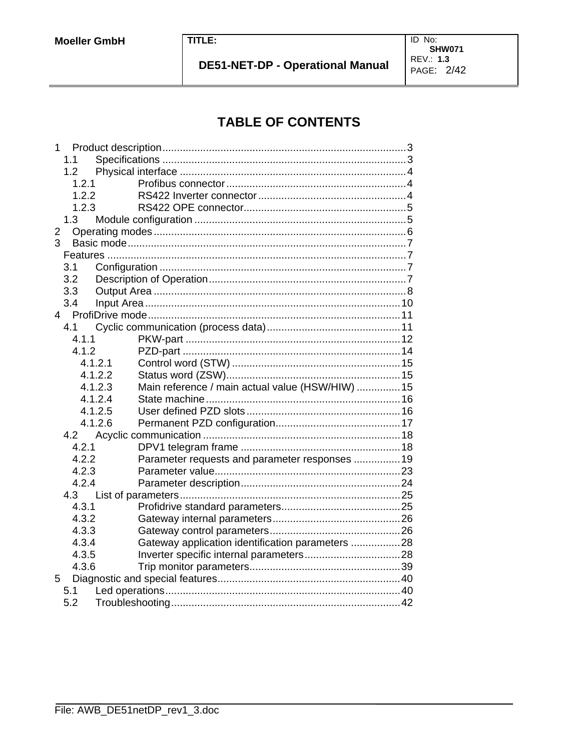# **TABLE OF CONTENTS**

| $\mathbf{1}$ |                                                  |  |
|--------------|--------------------------------------------------|--|
| 1.1          |                                                  |  |
| 1.2          |                                                  |  |
| 1.2.1        |                                                  |  |
| 1.2.2        |                                                  |  |
| 1.2.3        |                                                  |  |
| 1.3          |                                                  |  |
| 2            |                                                  |  |
| 3            |                                                  |  |
|              |                                                  |  |
| 3.1          |                                                  |  |
| 3.2          |                                                  |  |
| 3.3          |                                                  |  |
| 3.4          |                                                  |  |
| 4            |                                                  |  |
| 4.1          |                                                  |  |
| 4.1.1        |                                                  |  |
| 4.1.2        |                                                  |  |
| 4.1.2.1      |                                                  |  |
| 4.1.2.2      |                                                  |  |
| 4.1.2.3      | Main reference / main actual value (HSW/HIW)  15 |  |
| 4.1.2.4      |                                                  |  |
| 4.1.2.5      |                                                  |  |
| 4.1.2.6      |                                                  |  |
| 4.2          |                                                  |  |
| 4.2.1        |                                                  |  |
| 4.2.2        | Parameter requests and parameter responses  19   |  |
| 4.2.3        |                                                  |  |
| 4.2.4        |                                                  |  |
| 4.3          |                                                  |  |
| 4.3.1        |                                                  |  |
| 4.3.2        |                                                  |  |
| 4.3.3        |                                                  |  |
| 4.3.4        | Gateway application identification parameters 28 |  |
| 4.3.5        |                                                  |  |
| 4.3.6        |                                                  |  |
| 5            |                                                  |  |
| 5.1          |                                                  |  |
| 5.2          |                                                  |  |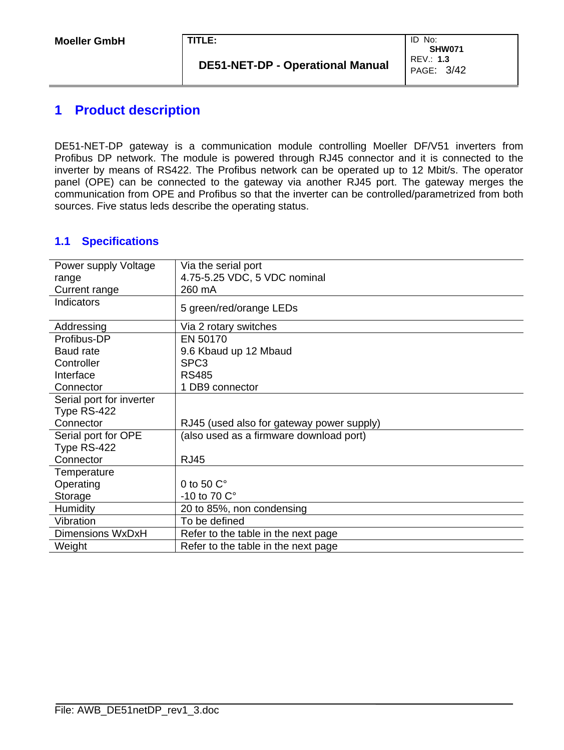# <span id="page-2-0"></span>**1 Product description**

DE51-NET-DP gateway is a communication module controlling Moeller DF/V51 inverters from Profibus DP network. The module is powered through RJ45 connector and it is connected to the inverter by means of RS422. The Profibus network can be operated up to 12 Mbit/s. The operator panel (OPE) can be connected to the gateway via another RJ45 port. The gateway merges the communication from OPE and Profibus so that the inverter can be controlled/parametrized from both sources. Five status leds describe the operating status.

### **1.1 Specifications**

| Power supply Voltage     | Via the serial port                       |
|--------------------------|-------------------------------------------|
| range                    | 4.75-5.25 VDC, 5 VDC nominal              |
| Current range            | 260 mA                                    |
| Indicators               | 5 green/red/orange LEDs                   |
| Addressing               | Via 2 rotary switches                     |
| Profibus-DP              | EN 50170                                  |
| Baud rate                | 9.6 Kbaud up 12 Mbaud                     |
| Controller               | SPC <sub>3</sub>                          |
| Interface                | <b>RS485</b>                              |
| Connector                | 1 DB9 connector                           |
| Serial port for inverter |                                           |
| Type RS-422              |                                           |
| Connector                | RJ45 (used also for gateway power supply) |
| Serial port for OPE      | (also used as a firmware download port)   |
| Type RS-422              |                                           |
| Connector                | <b>RJ45</b>                               |
| Temperature              |                                           |
| Operating                | 0 to 50 $C^\circ$                         |
| Storage                  | -10 to 70 $C^\circ$                       |
| Humidity                 | 20 to 85%, non condensing                 |
| Vibration                | To be defined                             |
| <b>Dimensions WxDxH</b>  | Refer to the table in the next page       |
| Weight                   | Refer to the table in the next page       |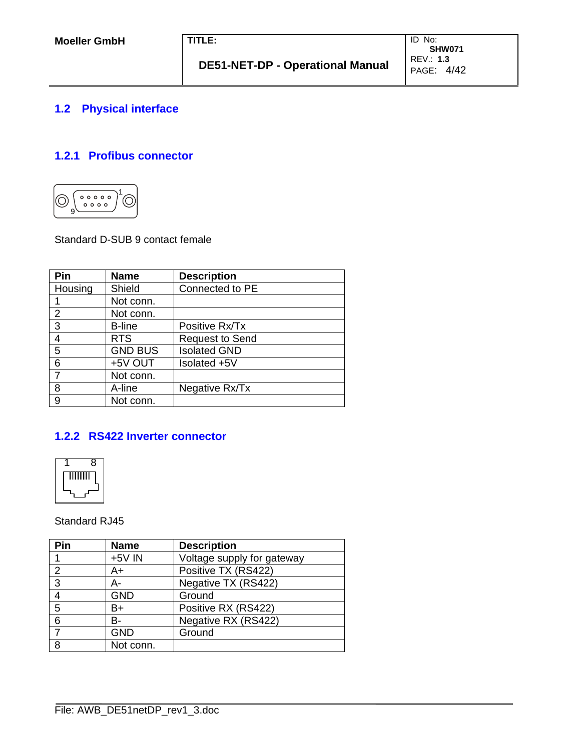### <span id="page-3-0"></span>**1.2 Physical interface**

#### **1.2.1 Profibus connector**



Standard D-SUB 9 contact female

| Pin            | <b>Name</b>    | <b>Description</b>     |
|----------------|----------------|------------------------|
| Housing        | Shield         | Connected to PE        |
|                | Not conn.      |                        |
| 2              | Not conn.      |                        |
| 3              | <b>B-line</b>  | Positive Rx/Tx         |
| $\overline{4}$ | <b>RTS</b>     | <b>Request to Send</b> |
| 5              | <b>GND BUS</b> | <b>Isolated GND</b>    |
| 6              | +5V OUT        | Isolated +5V           |
| 7              | Not conn.      |                        |
| 8              | A-line         | Negative Rx/Tx         |
| 9              | Not conn.      |                        |

#### **1.2.2 RS422 Inverter connector**



Standard RJ45

| Pin | <b>Name</b> | <b>Description</b>         |
|-----|-------------|----------------------------|
|     | +5V IN      | Voltage supply for gateway |
| 2   | A+          | Positive TX (RS422)        |
| 3   | А-          | Negative TX (RS422)        |
|     | <b>GND</b>  | Ground                     |
| 5   | B+          | Positive RX (RS422)        |
| 6   | В-          | Negative RX (RS422)        |
|     | <b>GND</b>  | Ground                     |
|     | Not conn.   |                            |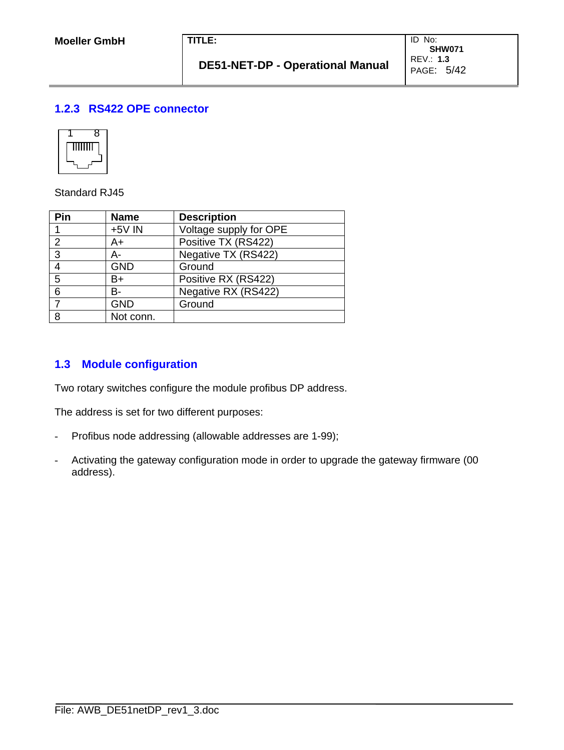#### <span id="page-4-0"></span>**1.2.3 RS422 OPE connector**

| ,,,,,,,,, |  |
|-----------|--|
|           |  |

Standard RJ45

| Pin            | <b>Name</b> | <b>Description</b>     |
|----------------|-------------|------------------------|
|                | +5V IN      | Voltage supply for OPE |
| 2              | A+          | Positive TX (RS422)    |
| 3              | А-          | Negative TX (RS422)    |
| $\overline{4}$ | <b>GND</b>  | Ground                 |
| 5              | B+          | Positive RX (RS422)    |
| 6              | В-          | Negative RX (RS422)    |
|                | <b>GND</b>  | Ground                 |
| 8              | Not conn.   |                        |

#### **1.3 Module configuration**

Two rotary switches configure the module profibus DP address.

The address is set for two different purposes:

- Profibus node addressing (allowable addresses are 1-99);
- Activating the gateway configuration mode in order to upgrade the gateway firmware (00 address).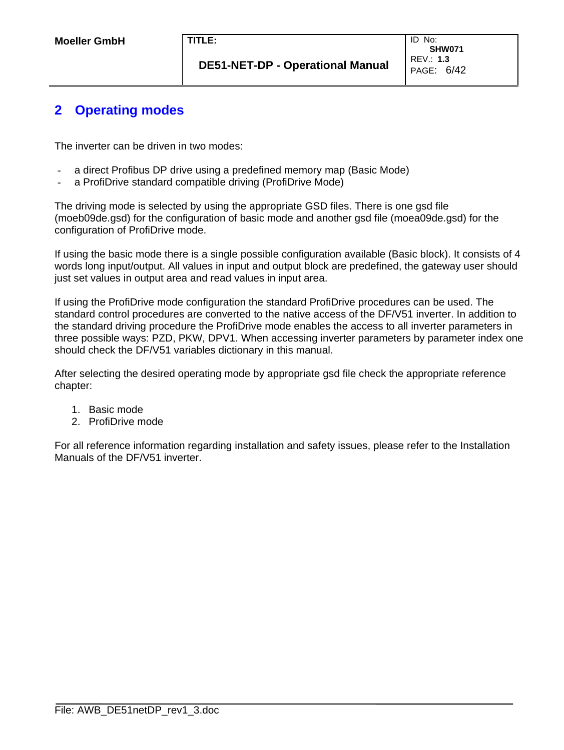# <span id="page-5-0"></span>**2 Operating modes**

The inverter can be driven in two modes:

- a direct Profibus DP drive using a predefined memory map (Basic Mode)
- a ProfiDrive standard compatible driving (ProfiDrive Mode)

The driving mode is selected by using the appropriate GSD files. There is one gsd file (moeb09de.gsd) for the configuration of basic mode and another gsd file (moea09de.gsd) for the configuration of ProfiDrive mode.

If using the basic mode there is a single possible configuration available (Basic block). It consists of 4 words long input/output. All values in input and output block are predefined, the gateway user should just set values in output area and read values in input area.

If using the ProfiDrive mode configuration the standard ProfiDrive procedures can be used. The standard control procedures are converted to the native access of the DF/V51 inverter. In addition to the standard driving procedure the ProfiDrive mode enables the access to all inverter parameters in three possible ways: PZD, PKW, DPV1. When accessing inverter parameters by parameter index one should check the DF/V51 variables dictionary in this manual.

After selecting the desired operating mode by appropriate gsd file check the appropriate reference chapter:

- 1. Basic mode
- 2. ProfiDrive mode

For all reference information regarding installation and safety issues, please refer to the Installation Manuals of the DF/V51 inverter.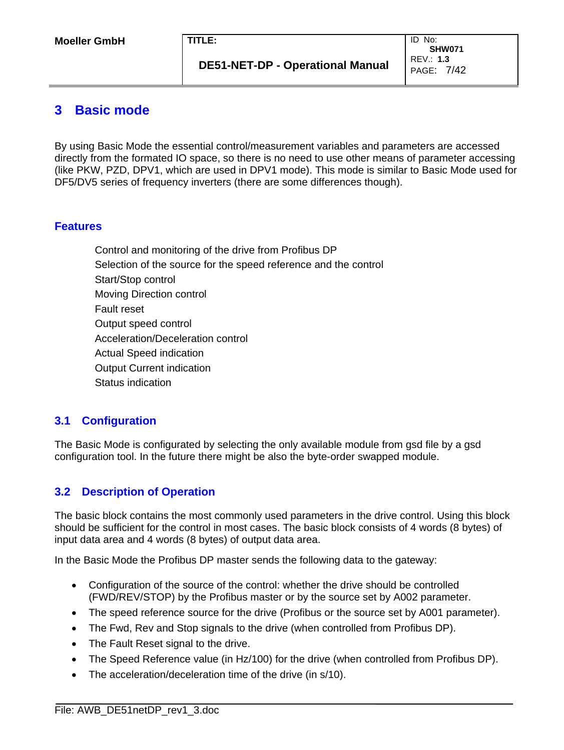# <span id="page-6-0"></span>**3 Basic mode**

By using Basic Mode the essential control/measurement variables and parameters are accessed directly from the formated IO space, so there is no need to use other means of parameter accessing (like PKW, PZD, DPV1, which are used in DPV1 mode). This mode is similar to Basic Mode used for DF5/DV5 series of frequency inverters (there are some differences though).

#### **Features**

Control and monitoring of the drive from Profibus DP Selection of the source for the speed reference and the control Start/Stop control Moving Direction control Fault reset Output speed control Acceleration/Deceleration control Actual Speed indication Output Current indication Status indication

### **3.1 Configuration**

The Basic Mode is configurated by selecting the only available module from gsd file by a gsd configuration tool. In the future there might be also the byte-order swapped module.

### **3.2 Description of Operation**

The basic block contains the most commonly used parameters in the drive control. Using this block should be sufficient for the control in most cases. The basic block consists of 4 words (8 bytes) of input data area and 4 words (8 bytes) of output data area.

In the Basic Mode the Profibus DP master sends the following data to the gateway:

- Configuration of the source of the control: whether the drive should be controlled (FWD/REV/STOP) by the Profibus master or by the source set by A002 parameter.
- The speed reference source for the drive (Profibus or the source set by A001 parameter).
- The Fwd, Rev and Stop signals to the drive (when controlled from Profibus DP).
- The Fault Reset signal to the drive.
- The Speed Reference value (in Hz/100) for the drive (when controlled from Profibus DP).
- The acceleration/deceleration time of the drive (in s/10).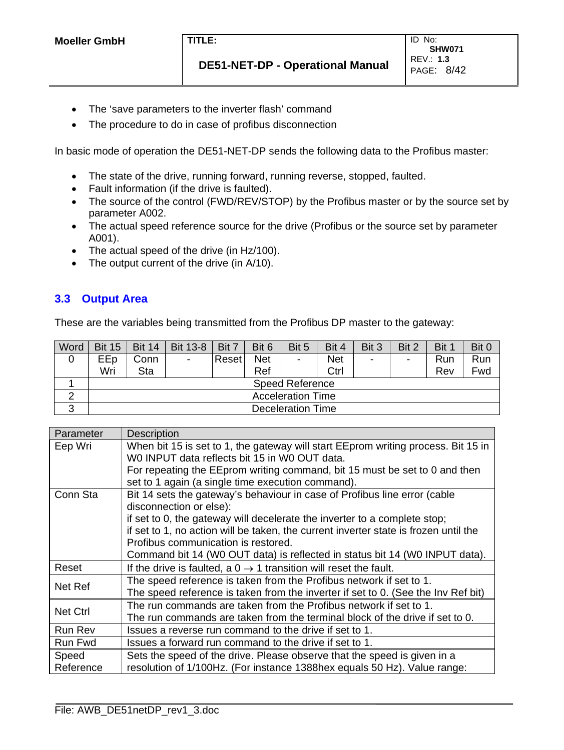- <span id="page-7-0"></span>• The 'save parameters to the inverter flash' command
- The procedure to do in case of profibus disconnection

In basic mode of operation the DE51-NET-DP sends the following data to the Profibus master:

- The state of the drive, running forward, running reverse, stopped, faulted.
- Fault information (if the drive is faulted).
- The source of the control (FWD/REV/STOP) by the Profibus master or by the source set by parameter A002.
- The actual speed reference source for the drive (Profibus or the source set by parameter A001).
- The actual speed of the drive (in Hz/100).
- The output current of the drive (in A/10).

#### **3.3 Output Area**

These are the variables being transmitted from the Profibus DP master to the gateway:

| Word | <b>Bit 15</b>            | <b>Bit 14</b> | <b>Bit 13-8</b> | Bit 7 | Bit 6      | Bit 5 | Bit 4      | Bit 3                    | Bit 2 | Bit 1 | Bit 0 |
|------|--------------------------|---------------|-----------------|-------|------------|-------|------------|--------------------------|-------|-------|-------|
|      | EEp                      | Conn          | $\blacksquare$  | Reset | <b>Net</b> | -     | <b>Net</b> | $\overline{\phantom{0}}$ | -     | Run   | Run   |
|      | Wri                      | Sta           |                 |       | Ref        |       | Ctrl       |                          |       | Rev   | Fwd   |
|      | <b>Speed Reference</b>   |               |                 |       |            |       |            |                          |       |       |       |
|      | <b>Acceleration Time</b> |               |                 |       |            |       |            |                          |       |       |       |
| 3    | <b>Deceleration Time</b> |               |                 |       |            |       |            |                          |       |       |       |

| Parameter       | <b>Description</b>                                                                   |
|-----------------|--------------------------------------------------------------------------------------|
| Eep Wri         | When bit 15 is set to 1, the gateway will start EEprom writing process. Bit 15 in    |
|                 | WO INPUT data reflects bit 15 in WO OUT data.                                        |
|                 | For repeating the EEprom writing command, bit 15 must be set to 0 and then           |
|                 | set to 1 again (a single time execution command).                                    |
| Conn Sta        | Bit 14 sets the gateway's behaviour in case of Profibus line error (cable            |
|                 | disconnection or else):                                                              |
|                 | if set to 0, the gateway will decelerate the inverter to a complete stop;            |
|                 | if set to 1, no action will be taken, the current inverter state is frozen until the |
|                 | Profibus communication is restored.                                                  |
|                 | Command bit 14 (W0 OUT data) is reflected in status bit 14 (W0 INPUT data).          |
| Reset           | If the drive is faulted, a $0 \rightarrow 1$ transition will reset the fault.        |
| Net Ref         | The speed reference is taken from the Profibus network if set to 1.                  |
|                 | The speed reference is taken from the inverter if set to 0. (See the Inv Ref bit)    |
| <b>Net Ctrl</b> | The run commands are taken from the Profibus network if set to 1.                    |
|                 | The run commands are taken from the terminal block of the drive if set to 0.         |
| Run Rev         | Issues a reverse run command to the drive if set to 1.                               |
| Run Fwd         | Issues a forward run command to the drive if set to 1.                               |
| Speed           | Sets the speed of the drive. Please observe that the speed is given in a             |
| Reference       | resolution of 1/100Hz. (For instance 1388hex equals 50 Hz). Value range:             |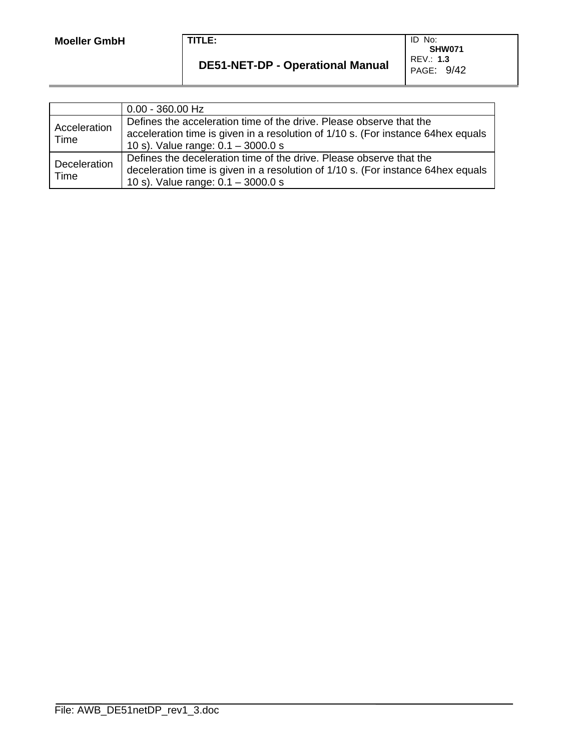|                      | $0.00 - 360.00$ Hz                                                                                                                                                                             |
|----------------------|------------------------------------------------------------------------------------------------------------------------------------------------------------------------------------------------|
| Acceleration<br>Time | Defines the acceleration time of the drive. Please observe that the<br>acceleration time is given in a resolution of 1/10 s. (For instance 64 hex equals<br>10 s). Value range: 0.1 - 3000.0 s |
| Deceleration<br>Time | Defines the deceleration time of the drive. Please observe that the<br>deceleration time is given in a resolution of 1/10 s. (For instance 64 hex equals<br>10 s). Value range: 0.1 - 3000.0 s |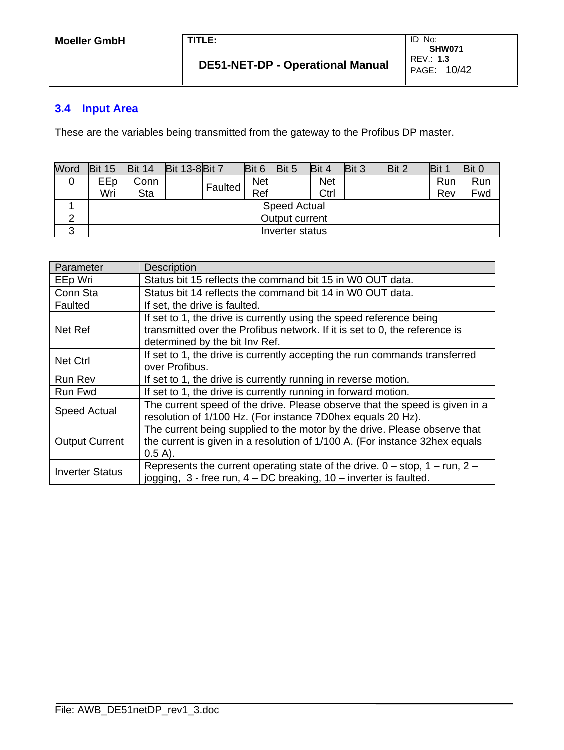### <span id="page-9-0"></span>**3.4 Input Area**

These are the variables being transmitted from the gateway to the Profibus DP master.

| Word   | <b>Bit 15</b> | <b>Bit 14</b>       | <b>Bit 13-8 Bit 7</b> |         | Bit 6      | Bit 5 | Bit 4      | Bit 3 | Bit 2 | Bit 1 | Bit 0 |
|--------|---------------|---------------------|-----------------------|---------|------------|-------|------------|-------|-------|-------|-------|
|        | EEp           | Conn                |                       | Faulted | <b>Net</b> |       | <b>Net</b> |       |       | Run   | Run   |
|        | Wri           | Sta                 |                       |         | Ref        |       | Ctrl       |       |       | Rev   | Fwd   |
|        |               | <b>Speed Actual</b> |                       |         |            |       |            |       |       |       |       |
| ົ      |               | Output current      |                       |         |            |       |            |       |       |       |       |
| າ<br>ບ |               | Inverter status     |                       |         |            |       |            |       |       |       |       |

| Parameter              | <b>Description</b>                                                                                                                                                                  |
|------------------------|-------------------------------------------------------------------------------------------------------------------------------------------------------------------------------------|
| EEp Wri                | Status bit 15 reflects the command bit 15 in W0 OUT data.                                                                                                                           |
| Conn Sta               | Status bit 14 reflects the command bit 14 in W0 OUT data.                                                                                                                           |
| Faulted                | If set, the drive is faulted.                                                                                                                                                       |
| Net Ref                | If set to 1, the drive is currently using the speed reference being<br>transmitted over the Profibus network. If it is set to 0, the reference is<br>determined by the bit Inv Ref. |
| Net Ctrl               | If set to 1, the drive is currently accepting the run commands transferred<br>over Profibus.                                                                                        |
| Run Rev                | If set to 1, the drive is currently running in reverse motion.                                                                                                                      |
| Run Fwd                | If set to 1, the drive is currently running in forward motion.                                                                                                                      |
| <b>Speed Actual</b>    | The current speed of the drive. Please observe that the speed is given in a<br>resolution of 1/100 Hz. (For instance 7D0hex equals 20 Hz).                                          |
| <b>Output Current</b>  | The current being supplied to the motor by the drive. Please observe that<br>the current is given in a resolution of 1/100 A. (For instance 32hex equals<br>$0.5 A$ ).              |
| <b>Inverter Status</b> | Represents the current operating state of the drive. $0 - stop$ , $1 - run$ , $2 -$<br>jogging, $3$ - free run, $4$ – DC breaking, $10$ – inverter is faulted.                      |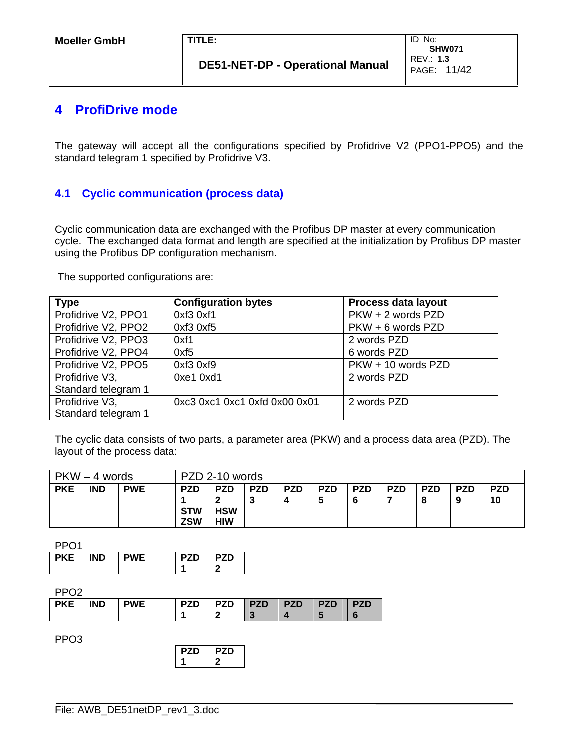## <span id="page-10-0"></span>**4 ProfiDrive mode**

The gateway will accept all the configurations specified by Profidrive V2 (PPO1-PPO5) and the standard telegram 1 specified by Profidrive V3.

### **4.1 Cyclic communication (process data)**

Cyclic communication data are exchanged with the Profibus DP master at every communication cycle. The exchanged data format and length are specified at the initialization by Profibus DP master using the Profibus DP configuration mechanism.

The supported configurations are:

| <b>Type</b>         | <b>Configuration bytes</b>    | Process data layout |
|---------------------|-------------------------------|---------------------|
| Profidrive V2, PPO1 | Oxf3 Oxf1                     | PKW + 2 words PZD   |
| Profidrive V2, PPO2 | 0xf3 0xf5                     | PKW + 6 words PZD   |
| Profidrive V2, PPO3 | 0xf1                          | 2 words PZD         |
| Profidrive V2, PPO4 | 0xf5                          | 6 words PZD         |
| Profidrive V2, PPO5 | Oxf3 Oxf9                     | PKW + 10 words PZD  |
| Profidrive V3,      | 0xe1 0xd1                     | 2 words PZD         |
| Standard telegram 1 |                               |                     |
| Profidrive V3,      | 0xc3 0xc1 0xc1 0xfd 0x00 0x01 | 2 words PZD         |
| Standard telegram 1 |                               |                     |

The cyclic data consists of two parts, a parameter area (PKW) and a process data area (PZD). The layout of the process data:

| $PKW - 4$ words |            |            |                                        |                                        | PZD 2-10 words |            |                 |            |            |            |                 |                  |
|-----------------|------------|------------|----------------------------------------|----------------------------------------|----------------|------------|-----------------|------------|------------|------------|-----------------|------------------|
| <b>PKE</b>      | <b>IND</b> | <b>PWE</b> | <b>PZD</b><br><b>STW</b><br><b>ZSW</b> | <b>PZD</b><br><b>HSW</b><br><b>HIW</b> | <b>PZD</b>     | <b>PZD</b> | <b>PZD</b><br>5 | <b>PZD</b> | <b>PZD</b> | <b>PZD</b> | <b>PZD</b><br>9 | <b>PZD</b><br>10 |

PPO1

| PKF | <b>IND</b> | <b>PWF</b> | PZD. | l PZD |
|-----|------------|------------|------|-------|
|     |            |            |      |       |

PPO2

| <b>PKE</b> | <b>IND</b> | <b>PWE</b> | <b>PZD</b> |  | PZD   PZD   PZD   PZD |  |
|------------|------------|------------|------------|--|-----------------------|--|
|            |            |            |            |  |                       |  |

PPO3

| . ب | J. |
|-----|----|
| ۰,  | -  |
|     |    |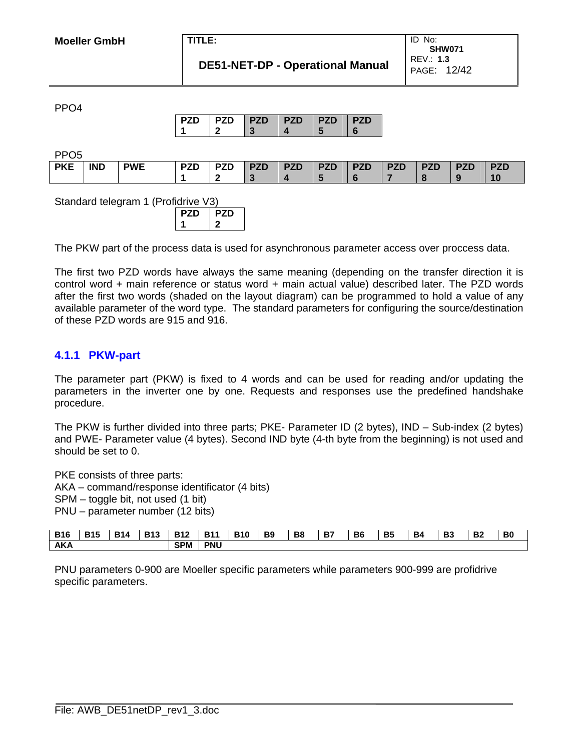<span id="page-11-0"></span>PPO4

| PZD   PZD   PZD   PZD   PZD   PZD |  |  |
|-----------------------------------|--|--|
|                                   |  |  |

PPO5

| <b>PKE</b> | <b>IND</b> | <b>PWE</b> | <b>PZD</b> | <b>PZD</b> | <b>PZD</b> | $ $ PZD | PZD | $ $ PZD | I PZD | PZD | <b>PZD</b> |    |
|------------|------------|------------|------------|------------|------------|---------|-----|---------|-------|-----|------------|----|
|            |            |            |            |            |            |         |     |         |       |     |            | 10 |
|            |            |            |            |            |            |         |     |         |       |     |            |    |

**DE51-NET-DP - Operational Manual** 

Standard telegram 1 (Profidrive V3)

| 27D | P/I) |
|-----|------|
|     |      |

The PKW part of the process data is used for asynchronous parameter access over proccess data.

The first two PZD words have always the same meaning (depending on the transfer direction it is control word + main reference or status word + main actual value) described later. The PZD words after the first two words (shaded on the layout diagram) can be programmed to hold a value of any available parameter of the word type. The standard parameters for configuring the source/destination of these PZD words are 915 and 916.

### **4.1.1 PKW-part**

The parameter part (PKW) is fixed to 4 words and can be used for reading and/or updating the parameters in the inverter one by one. Requests and responses use the predefined handshake procedure.

The PKW is further divided into three parts; PKE- Parameter ID (2 bytes), IND – Sub-index (2 bytes) and PWE- Parameter value (4 bytes). Second IND byte (4-th byte from the beginning) is not used and should be set to 0.

PKE consists of three parts: AKA – command/response identificator (4 bits) SPM – toggle bit, not used (1 bit) PNU – parameter number (12 bits)

| <b>B16</b> | B15 | <b>B14</b> | <b>B13 B12</b> |            | <b>B11</b> | <b>B10 B9</b> | <b>B8</b> | <b>B7</b> | B6 | <b>B5</b> | <b>B4</b> | <b>B3</b> | <b>B2</b> | B <sub>0</sub> |
|------------|-----|------------|----------------|------------|------------|---------------|-----------|-----------|----|-----------|-----------|-----------|-----------|----------------|
| <b>AKA</b> |     |            |                | <b>SPM</b> | <b>PNU</b> |               |           |           |    |           |           |           |           |                |

PNU parameters 0-900 are Moeller specific parameters while parameters 900-999 are profidrive specific parameters.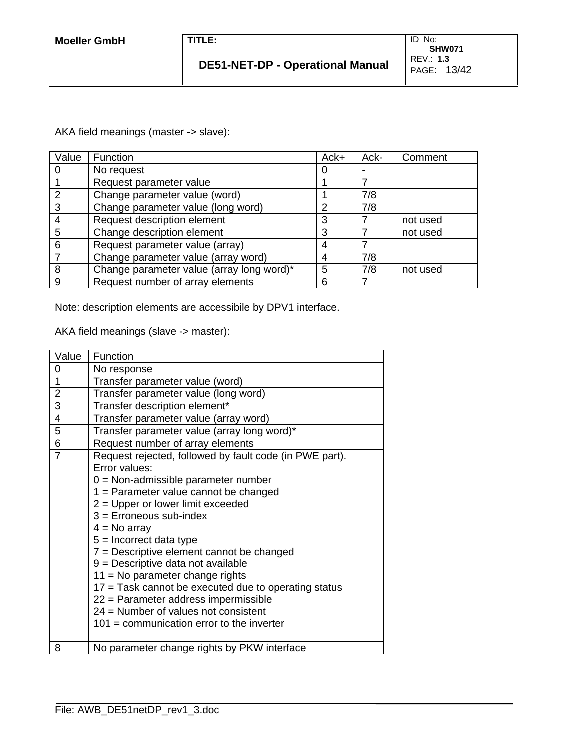AKA field meanings (master -> slave):

| Value    | <b>Function</b>                           | Ack+ | Ack- | Comment  |
|----------|-------------------------------------------|------|------|----------|
| $\Omega$ | No request                                | 0    |      |          |
|          | Request parameter value                   |      |      |          |
| 2        | Change parameter value (word)             |      | 7/8  |          |
| 3        | Change parameter value (long word)        | 2    | 7/8  |          |
| 4        | Request description element               | 3    |      | not used |
| 5        | Change description element                | 3    |      | not used |
| 6        | Request parameter value (array)           | 4    |      |          |
|          | Change parameter value (array word)       | 4    | 7/8  |          |
| 8        | Change parameter value (array long word)* | 5    | 7/8  | not used |
| 9        | Request number of array elements          | 6    |      |          |

Note: description elements are accessibile by DPV1 interface.

AKA field meanings (slave -> master):

| Value                   | Function                                                |
|-------------------------|---------------------------------------------------------|
| 0                       | No response                                             |
| 1                       | Transfer parameter value (word)                         |
| $\overline{c}$          | Transfer parameter value (long word)                    |
| $\overline{3}$          | Transfer description element*                           |
| $\overline{\mathbf{4}}$ | Transfer parameter value (array word)                   |
| 5                       | Transfer parameter value (array long word)*             |
| 6                       | Request number of array elements                        |
| $\overline{7}$          | Request rejected, followed by fault code (in PWE part). |
|                         | Error values:                                           |
|                         | $0 = \text{Non-admissible parameter number}$            |
|                         | 1 = Parameter value cannot be changed                   |
|                         | $2$ = Upper or lower limit exceeded                     |
|                         | $3$ = Erroneous sub-index                               |
|                         | $4 = No array$                                          |
|                         | $5 =$ Incorrect data type                               |
|                         | 7 = Descriptive element cannot be changed               |
|                         | 9 = Descriptive data not available                      |
|                         | $11$ = No parameter change rights                       |
|                         | 17 = Task cannot be executed due to operating status    |
|                         | 22 = Parameter address impermissible                    |
|                         | 24 = Number of values not consistent                    |
|                         | $101$ = communication error to the inverter             |
| 8                       | No parameter change rights by PKW interface             |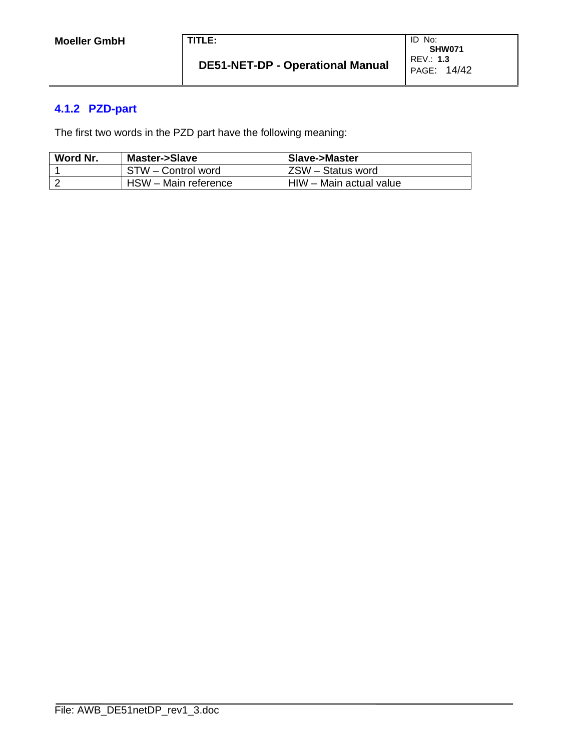#### <span id="page-13-0"></span>**4.1.2 PZD-part**

The first two words in the PZD part have the following meaning:

| Word Nr. | Master->Slave        | <b>Slave-&gt;Master</b> |
|----------|----------------------|-------------------------|
|          | STW - Control word   | ⊥ ZSW – Status word     |
|          | HSW - Main reference | HIW - Main actual value |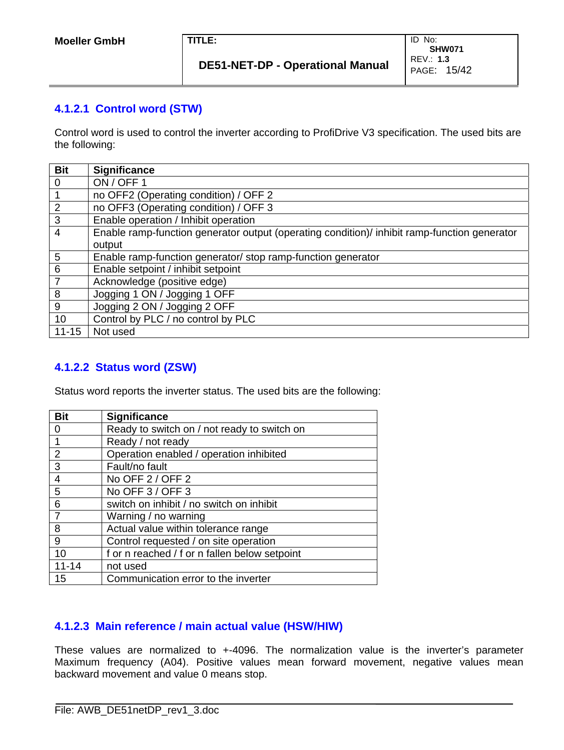### <span id="page-14-0"></span>**4.1.2.1 Control word (STW)**

Control word is used to control the inverter according to ProfiDrive V3 specification. The used bits are the following:

| <b>Bit</b>      | <b>Significance</b>                                                                          |
|-----------------|----------------------------------------------------------------------------------------------|
| $\overline{0}$  | ON / OFF 1                                                                                   |
|                 | no OFF2 (Operating condition) / OFF 2                                                        |
| $\overline{2}$  | no OFF3 (Operating condition) / OFF 3                                                        |
| $\mathbf{3}$    | Enable operation / Inhibit operation                                                         |
| $\overline{4}$  | Enable ramp-function generator output (operating condition)/ inhibit ramp-function generator |
|                 | output                                                                                       |
| $5\phantom{.0}$ | Enable ramp-function generator/ stop ramp-function generator                                 |
| 6               | Enable setpoint / inhibit setpoint                                                           |
| $\overline{7}$  | Acknowledge (positive edge)                                                                  |
| 8               | Jogging 1 ON / Jogging 1 OFF                                                                 |
| 9               | Jogging 2 ON / Jogging 2 OFF                                                                 |
| 10              | Control by PLC / no control by PLC                                                           |
| $11 - 15$       | Not used                                                                                     |

### **4.1.2.2 Status word (ZSW)**

Status word reports the inverter status. The used bits are the following:

| <b>Bit</b>     | <b>Significance</b>                           |
|----------------|-----------------------------------------------|
|                | Ready to switch on / not ready to switch on   |
|                | Ready / not ready                             |
| $\overline{2}$ | Operation enabled / operation inhibited       |
| 3              | Fault/no fault                                |
| 4              | No OFF 2 / OFF 2                              |
| 5              | No OFF 3 / OFF 3                              |
| 6              | switch on inhibit / no switch on inhibit      |
|                | Warning / no warning                          |
| 8              | Actual value within tolerance range           |
| 9              | Control requested / on site operation         |
| 10             | f or n reached / f or n fallen below setpoint |
| $11 - 14$      | not used                                      |
| 15             | Communication error to the inverter           |

### **4.1.2.3 Main reference / main actual value (HSW/HIW)**

These values are normalized to +-4096. The normalization value is the inverter's parameter Maximum frequency (A04). Positive values mean forward movement, negative values mean backward movement and value 0 means stop.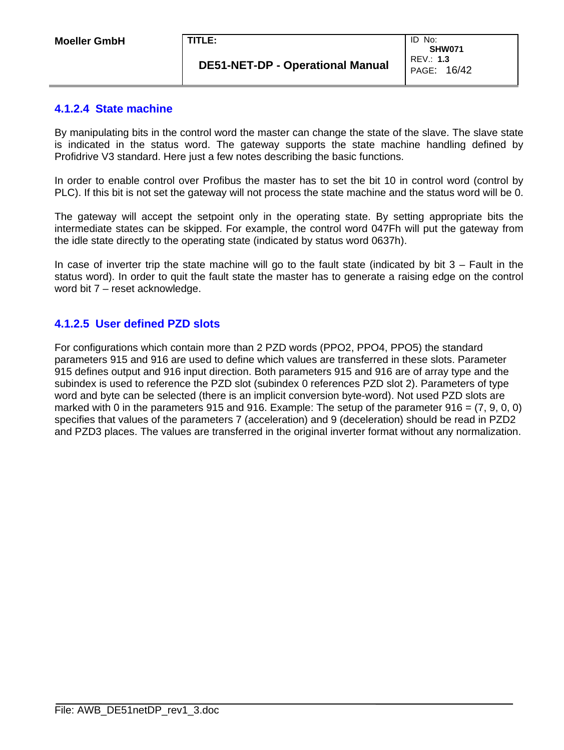#### <span id="page-15-0"></span>**4.1.2.4 State machine**

By manipulating bits in the control word the master can change the state of the slave. The slave state is indicated in the status word. The gateway supports the state machine handling defined by Profidrive V3 standard. Here just a few notes describing the basic functions.

In order to enable control over Profibus the master has to set the bit 10 in control word (control by PLC). If this bit is not set the gateway will not process the state machine and the status word will be 0.

The gateway will accept the setpoint only in the operating state. By setting appropriate bits the intermediate states can be skipped. For example, the control word 047Fh will put the gateway from the idle state directly to the operating state (indicated by status word 0637h).

In case of inverter trip the state machine will go to the fault state (indicated by bit  $3 -$  Fault in the status word). In order to quit the fault state the master has to generate a raising edge on the control word bit 7 – reset acknowledge.

#### **4.1.2.5 User defined PZD slots**

For configurations which contain more than 2 PZD words (PPO2, PPO4, PPO5) the standard parameters 915 and 916 are used to define which values are transferred in these slots. Parameter 915 defines output and 916 input direction. Both parameters 915 and 916 are of array type and the subindex is used to reference the PZD slot (subindex 0 references PZD slot 2). Parameters of type word and byte can be selected (there is an implicit conversion byte-word). Not used PZD slots are marked with 0 in the parameters 915 and 916. Example: The setup of the parameter 916 =  $(7, 9, 0, 0)$ specifies that values of the parameters 7 (acceleration) and 9 (deceleration) should be read in PZD2 and PZD3 places. The values are transferred in the original inverter format without any normalization.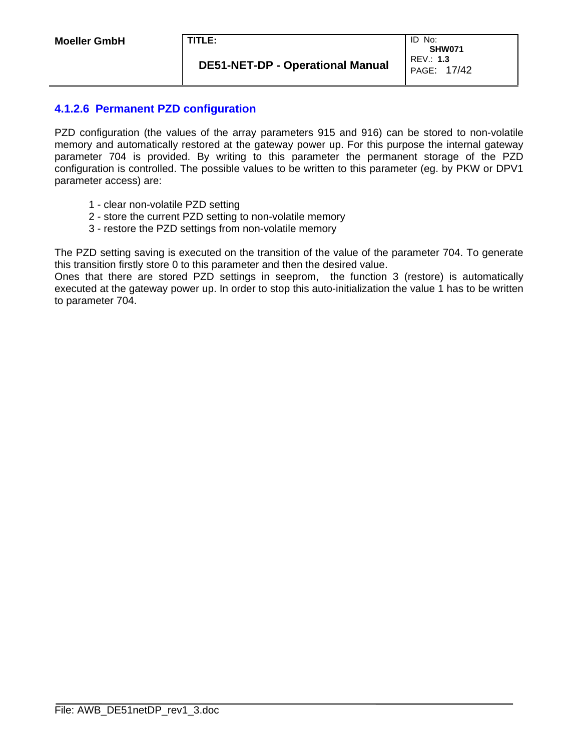#### <span id="page-16-0"></span>**4.1.2.6 Permanent PZD configuration**

PZD configuration (the values of the array parameters 915 and 916) can be stored to non-volatile memory and automatically restored at the gateway power up. For this purpose the internal gateway parameter 704 is provided. By writing to this parameter the permanent storage of the PZD configuration is controlled. The possible values to be written to this parameter (eg. by PKW or DPV1 parameter access) are:

- 1 clear non-volatile PZD setting
- 2 store the current PZD setting to non-volatile memory
- 3 restore the PZD settings from non-volatile memory

The PZD setting saving is executed on the transition of the value of the parameter 704. To generate this transition firstly store 0 to this parameter and then the desired value.

Ones that there are stored PZD settings in seeprom, the function 3 (restore) is automatically executed at the gateway power up. In order to stop this auto-initialization the value 1 has to be written to parameter 704.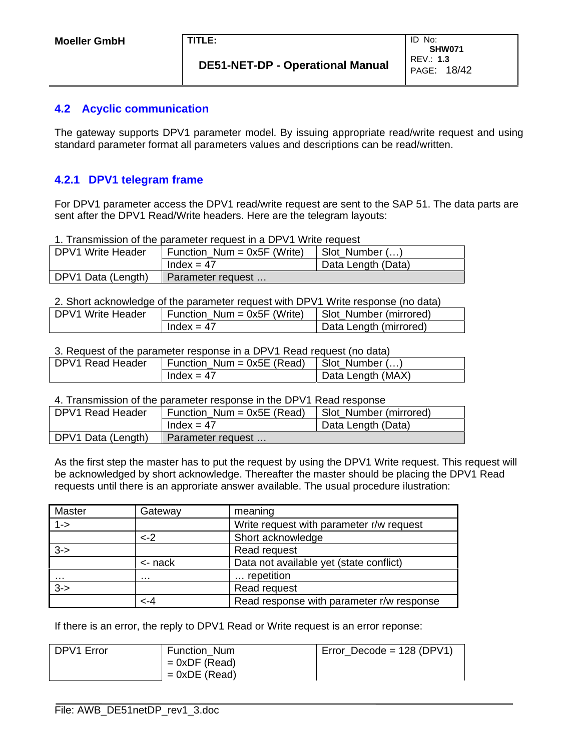#### <span id="page-17-0"></span>**4.2 Acyclic communication**

The gateway supports DPV1 parameter model. By issuing appropriate read/write request and using standard parameter format all parameters values and descriptions can be read/written.

#### **4.2.1 DPV1 telegram frame**

For DPV1 parameter access the DPV1 read/write request are sent to the SAP 51. The data parts are sent after the DPV1 Read/Write headers. Here are the telegram layouts:

1. Transmission of the parameter request in a DPV1 Write request

| DPV1 Write Header  | $\sqrt{1 + 1}$ Function_Num = 0x5F (Write) | Slot Number ()     |
|--------------------|--------------------------------------------|--------------------|
|                    | $Index = 47$                               | Data Length (Data) |
| DPV1 Data (Length) | Parameter request                          |                    |

2. Short acknowledge of the parameter request with DPV1 Write response (no data)

| DPV1 Write Header | Function $Num = 0x5F (Write)$ | Slot Number (mirrored) |
|-------------------|-------------------------------|------------------------|
|                   | $Index = 47$                  | Data Length (mirrored) |
|                   |                               |                        |

3. Request of the parameter response in a DPV1 Read request (no data)

| DPV1 Read Header | Function Num = $0x5E$ (Read) | Slot Number ()    |
|------------------|------------------------------|-------------------|
|                  | $Index = 47$                 | Data Length (MAX) |

4. Transmission of the parameter response in the DPV1 Read response

| DPV1 Read Header   | Function Num = $0x5E$ (Read) | Slot Number (mirrored) |
|--------------------|------------------------------|------------------------|
|                    | $ldots$ lndex = 47           | Data Length (Data)     |
| DPV1 Data (Length) | Parameter request            |                        |

As the first step the master has to put the request by using the DPV1 Write request. This request will be acknowledged by short acknowledge. Thereafter the master should be placing the DPV1 Read requests until there is an approriate answer available. The usual procedure ilustration:

| Master   | Gateway        | meaning                                   |
|----------|----------------|-------------------------------------------|
| $1 - 5$  |                | Write request with parameter r/w request  |
|          | $\leftarrow$ 2 | Short acknowledge                         |
| $3 - 5$  |                | Read request                              |
|          | <- nack        | Data not available yet (state conflict)   |
| $\cdots$ | .              | repetition                                |
| $3 - 5$  |                | Read request                              |
|          | 4->            | Read response with parameter r/w response |

If there is an error, the reply to DPV1 Read or Write request is an error reponse:

| $Error\_Decode = 128 (DPV1)$<br>DPV1 Error<br><b>Function Num</b><br>$= 0xDF$ (Read)<br>$= 0xDE$ (Read) |  |
|---------------------------------------------------------------------------------------------------------|--|
|---------------------------------------------------------------------------------------------------------|--|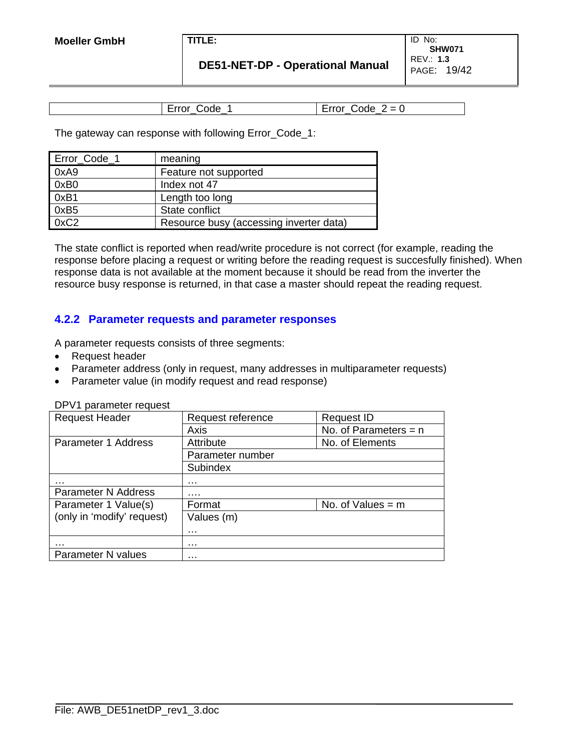Error\_Code\_1 Error\_Code\_2 = 0

<span id="page-18-0"></span>The gateway can response with following Error\_Code\_1:

| Error Code 1     | meaning                                 |
|------------------|-----------------------------------------|
| 0xA9             | Feature not supported                   |
| 0xB0             | Index not 47                            |
| 0xB1             | Length too long                         |
| 0xB <sub>5</sub> | State conflict                          |
| 0xC2             | Resource busy (accessing inverter data) |

The state conflict is reported when read/write procedure is not correct (for example, reading the response before placing a request or writing before the reading request is succesfully finished). When response data is not available at the moment because it should be read from the inverter the resource busy response is returned, in that case a master should repeat the reading request.

#### **4.2.2 Parameter requests and parameter responses**

A parameter requests consists of three segments:

- Request header
- Parameter address (only in request, many addresses in multiparameter requests)
- Parameter value (in modify request and read response)

| <u>DI VI parameter reguest</u> |                   |                         |
|--------------------------------|-------------------|-------------------------|
| <b>Request Header</b>          | Request reference | <b>Request ID</b>       |
|                                | <b>Axis</b>       | No. of Parameters = $n$ |
| Parameter 1 Address            | Attribute         | No. of Elements         |
|                                | Parameter number  |                         |
|                                | <b>Subindex</b>   |                         |
| .                              | .                 |                         |
| <b>Parameter N Address</b>     | .                 |                         |
| Parameter 1 Value(s)           | Format            | No. of Values $=$ m     |
| (only in 'modify' request)     | Values (m)        |                         |
|                                | .                 |                         |
| .                              | .                 |                         |
| Parameter N values             | .                 |                         |

#### DPV1 parameter request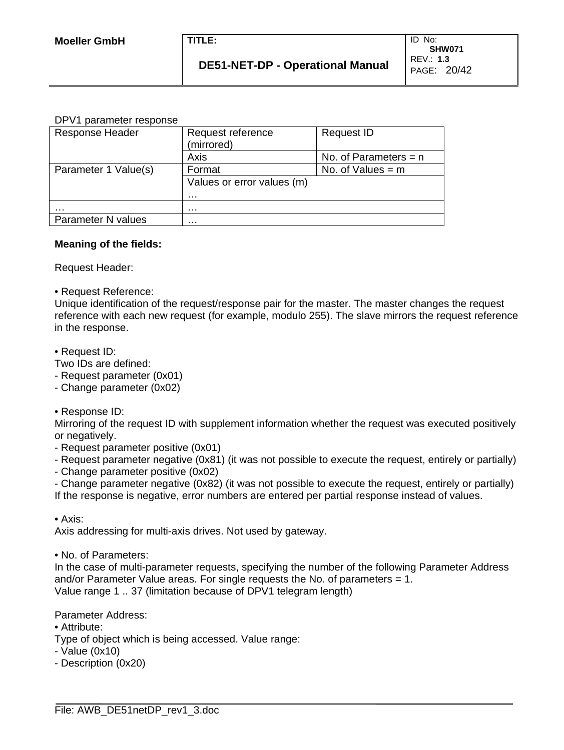#### DPV1 parameter response

| <b>Response Header</b> | Request reference          | <b>Request ID</b>       |
|------------------------|----------------------------|-------------------------|
|                        | (mirrored)                 |                         |
|                        | Axis                       | No. of Parameters $= n$ |
| Parameter 1 Value(s)   | Format                     | No. of Values $=$ m     |
|                        | Values or error values (m) |                         |
|                        | .                          |                         |
|                        | .                          |                         |
| Parameter N values     | .                          |                         |

#### **Meaning of the fields:**

Request Header:

• Request Reference:

Unique identification of the request/response pair for the master. The master changes the request reference with each new request (for example, modulo 255). The slave mirrors the request reference in the response.

• Request ID:

Two IDs are defined:

- Request parameter (0x01)

- Change parameter (0x02)

• Response ID:

Mirroring of the request ID with supplement information whether the request was executed positively or negatively.

- Request parameter positive (0x01)

- Request parameter negative (0x81) (it was not possible to execute the request, entirely or partially)

- Change parameter positive (0x02)

- Change parameter negative (0x82) (it was not possible to execute the request, entirely or partially) If the response is negative, error numbers are entered per partial response instead of values.

• Axis:

Axis addressing for multi-axis drives. Not used by gateway.

• No. of Parameters:

In the case of multi-parameter requests, specifying the number of the following Parameter Address and/or Parameter Value areas. For single requests the No. of parameters  $= 1$ . Value range 1 .. 37 (limitation because of DPV1 telegram length)

Parameter Address:

• Attribute:

- Type of object which is being accessed. Value range:
- Value (0x10)
- Description (0x20)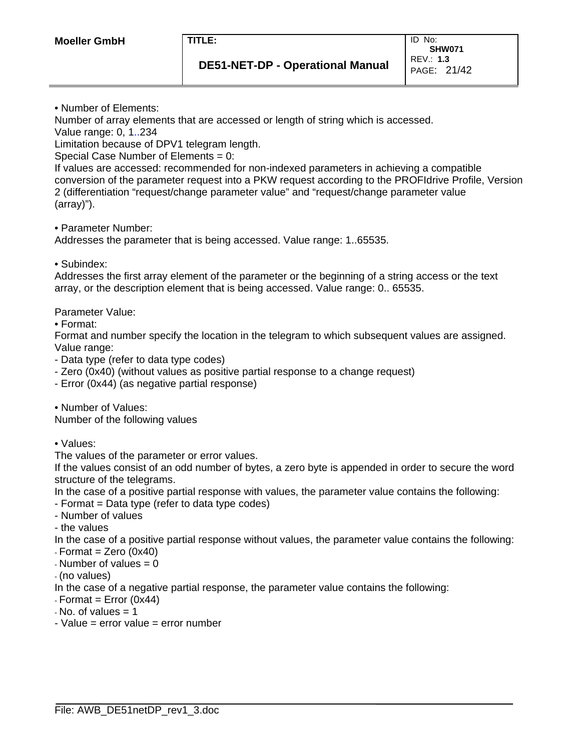• Number of Elements:

Number of array elements that are accessed or length of string which is accessed.

Value range: 0, 1..234

Limitation because of DPV1 telegram length.

Special Case Number of Elements = 0:

If values are accessed: recommended for non-indexed parameters in achieving a compatible conversion of the parameter request into a PKW request according to the PROFIdrive Profile, Version 2 (differentiation "request/change parameter value" and "request/change parameter value (array)").

• Parameter Number:

Addresses the parameter that is being accessed. Value range: 1..65535.

• Subindex:

Addresses the first array element of the parameter or the beginning of a string access or the text array, or the description element that is being accessed. Value range: 0.. 65535.

Parameter Value:

• Format:

Format and number specify the location in the telegram to which subsequent values are assigned. Value range:

- Data type (refer to data type codes)
- Zero (0x40) (without values as positive partial response to a change request)
- Error (0x44) (as negative partial response)

• Number of Values:

Number of the following values

• Values:

The values of the parameter or error values.

If the values consist of an odd number of bytes, a zero byte is appended in order to secure the word structure of the telegrams.

In the case of a positive partial response with values, the parameter value contains the following:

- Format = Data type (refer to data type codes)

- Number of values

- the values

In the case of a positive partial response without values, the parameter value contains the following:

 $-$  Format = Zero (0x40)

- $-$  Number of values  $= 0$
- (no values)

In the case of a negative partial response, the parameter value contains the following:

- $-$  Format = Error (0x44)
- $-$  No. of values  $= 1$
- Value = error value = error number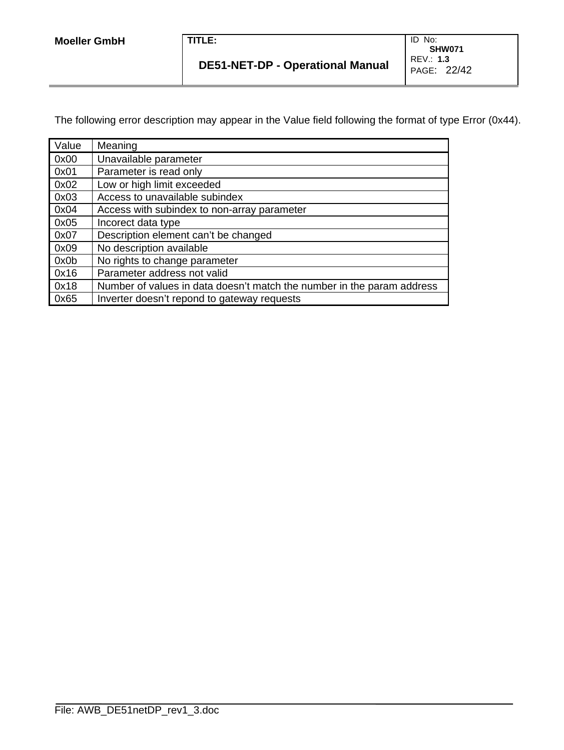The following error description may appear in the Value field following the format of type Error (0x44).

| Value | Meaning                                                                |
|-------|------------------------------------------------------------------------|
| 0x00  | Unavailable parameter                                                  |
| 0x01  | Parameter is read only                                                 |
| 0x02  | Low or high limit exceeded                                             |
| 0x03  | Access to unavailable subindex                                         |
| 0x04  | Access with subindex to non-array parameter                            |
| 0x05  | Incorect data type                                                     |
| 0x07  | Description element can't be changed                                   |
| 0x09  | No description available                                               |
| 0x0b  | No rights to change parameter                                          |
| 0x16  | Parameter address not valid                                            |
| 0x18  | Number of values in data doesn't match the number in the param address |
| 0x65  | Inverter doesn't repond to gateway requests                            |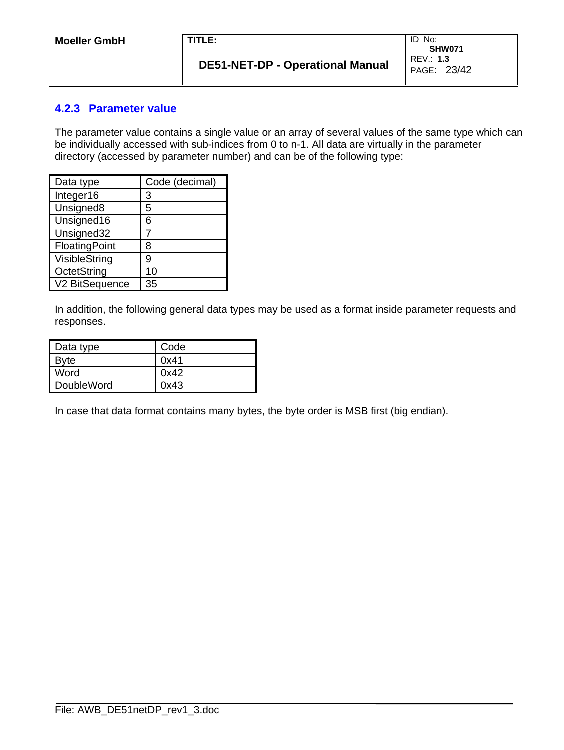#### <span id="page-22-0"></span>**4.2.3 Parameter value**

The parameter value contains a single value or an array of several values of the same type which can be individually accessed with sub-indices from 0 to n-1. All data are virtually in the parameter directory (accessed by parameter number) and can be of the following type:

| Data type      | Code (decimal) |
|----------------|----------------|
| Integer16      | 3              |
| Unsigned8      | 5              |
| Unsigned16     | 6              |
| Unsigned32     |                |
| FloatingPoint  | 8              |
| VisibleString  | g              |
| OctetString    | 10             |
| V2 BitSequence | 35             |

In addition, the following general data types may be used as a format inside parameter requests and responses.

| Data type         | Code |
|-------------------|------|
| <b>Byte</b>       | 0x41 |
| Word              | 0x42 |
| <b>DoubleWord</b> | 0x43 |

In case that data format contains many bytes, the byte order is MSB first (big endian).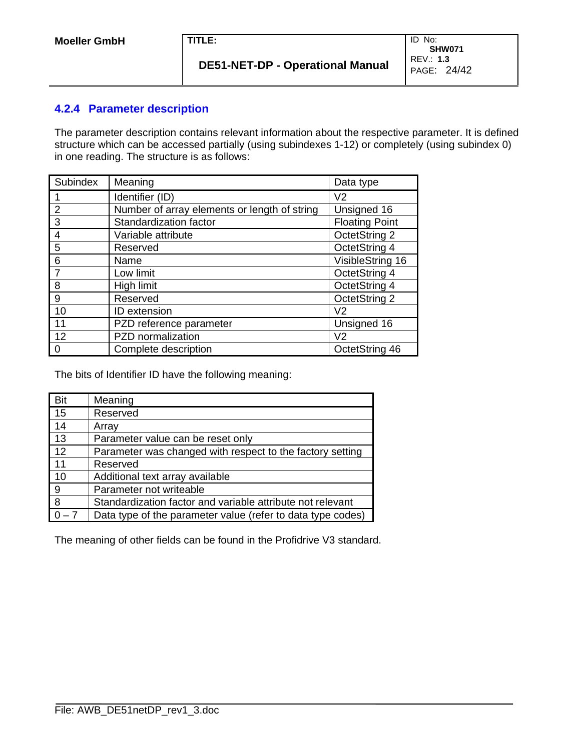#### <span id="page-23-0"></span>**4.2.4 Parameter description**

The parameter description contains relevant information about the respective parameter. It is defined structure which can be accessed partially (using subindexes 1-12) or completely (using subindex 0) in one reading. The structure is as follows:

| Subindex       | Meaning                                      | Data type             |
|----------------|----------------------------------------------|-----------------------|
|                | Identifier (ID)                              | V <sub>2</sub>        |
| $\overline{2}$ | Number of array elements or length of string | Unsigned 16           |
| 3              | Standardization factor                       | <b>Floating Point</b> |
| $\overline{4}$ | Variable attribute                           | OctetString 2         |
| 5              | Reserved                                     | OctetString 4         |
| 6              | Name                                         | VisibleString 16      |
| $\overline{7}$ | Low limit                                    | OctetString 4         |
| 8              | High limit                                   | OctetString 4         |
| 9              | Reserved                                     | OctetString 2         |
| 10             | <b>ID</b> extension                          | V <sub>2</sub>        |
| 11             | PZD reference parameter                      | Unsigned 16           |
| 12             | PZD normalization                            | V <sub>2</sub>        |
| $\overline{0}$ | Complete description                         | OctetString 46        |

The bits of Identifier ID have the following meaning:

| <b>Bit</b>     | Meaning                                                     |
|----------------|-------------------------------------------------------------|
| 15             | Reserved                                                    |
| 14             | Array                                                       |
| 13             | Parameter value can be reset only                           |
| 12             | Parameter was changed with respect to the factory setting   |
| 11             | Reserved                                                    |
| $\vert$ 10     | Additional text array available                             |
| $\overline{9}$ | Parameter not writeable                                     |
| $\overline{8}$ | Standardization factor and variable attribute not relevant  |
|                | Data type of the parameter value (refer to data type codes) |

The meaning of other fields can be found in the Profidrive V3 standard.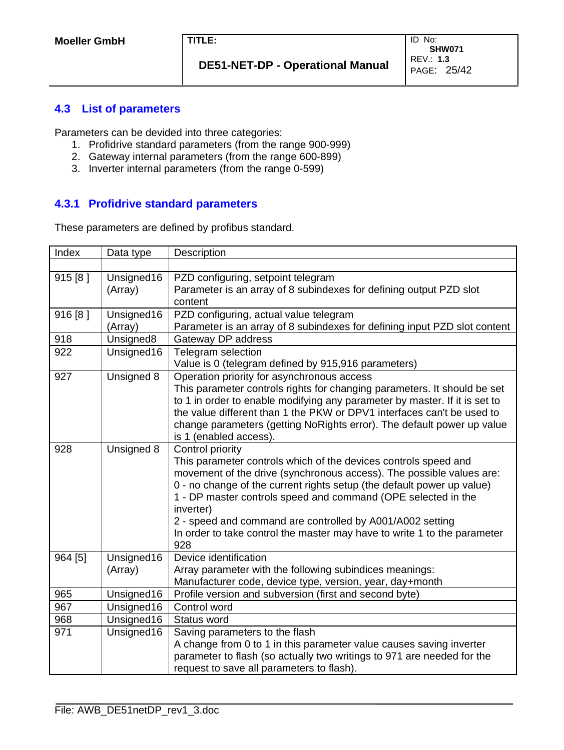#### <span id="page-24-0"></span>**4.3 List of parameters**

Parameters can be devided into three categories:

- 1. Profidrive standard parameters (from the range 900-999)
- 2. Gateway internal parameters (from the range 600-899)
- 3. Inverter internal parameters (from the range 0-599)

### **4.3.1 Profidrive standard parameters**

These parameters are defined by profibus standard.

| Index   | Data type             | Description                                                                                                                                                                                                                                                                                                                                                                                                                                                         |  |  |  |
|---------|-----------------------|---------------------------------------------------------------------------------------------------------------------------------------------------------------------------------------------------------------------------------------------------------------------------------------------------------------------------------------------------------------------------------------------------------------------------------------------------------------------|--|--|--|
|         |                       |                                                                                                                                                                                                                                                                                                                                                                                                                                                                     |  |  |  |
| 915 [8] | Unsigned16<br>(Array) | PZD configuring, setpoint telegram<br>Parameter is an array of 8 subindexes for defining output PZD slot<br>content                                                                                                                                                                                                                                                                                                                                                 |  |  |  |
| 916 [8] | Unsigned16<br>(Array) | PZD configuring, actual value telegram<br>Parameter is an array of 8 subindexes for defining input PZD slot content                                                                                                                                                                                                                                                                                                                                                 |  |  |  |
| 918     | Unsigned8             | Gateway DP address                                                                                                                                                                                                                                                                                                                                                                                                                                                  |  |  |  |
| 922     | Unsigned16            | Telegram selection<br>Value is 0 (telegram defined by 915,916 parameters)                                                                                                                                                                                                                                                                                                                                                                                           |  |  |  |
| 927     | Unsigned 8            | Operation priority for asynchronous access<br>This parameter controls rights for changing parameters. It should be set<br>to 1 in order to enable modifying any parameter by master. If it is set to<br>the value different than 1 the PKW or DPV1 interfaces can't be used to<br>change parameters (getting NoRights error). The default power up value<br>is 1 (enabled access).                                                                                  |  |  |  |
| 928     | Unsigned 8            | Control priority<br>This parameter controls which of the devices controls speed and<br>movement of the drive (synchronous access). The possible values are:<br>0 - no change of the current rights setup (the default power up value)<br>1 - DP master controls speed and command (OPE selected in the<br>inverter)<br>2 - speed and command are controlled by A001/A002 setting<br>In order to take control the master may have to write 1 to the parameter<br>928 |  |  |  |
| 964 [5] | Unsigned16<br>(Array) | Device identification<br>Array parameter with the following subindices meanings:<br>Manufacturer code, device type, version, year, day+month                                                                                                                                                                                                                                                                                                                        |  |  |  |
| 965     | Unsigned16            | Profile version and subversion (first and second byte)                                                                                                                                                                                                                                                                                                                                                                                                              |  |  |  |
| 967     | Unsigned16            | Control word                                                                                                                                                                                                                                                                                                                                                                                                                                                        |  |  |  |
| 968     | Unsigned16            | Status word                                                                                                                                                                                                                                                                                                                                                                                                                                                         |  |  |  |
| 971     | Unsigned16            | Saving parameters to the flash<br>A change from 0 to 1 in this parameter value causes saving inverter<br>parameter to flash (so actually two writings to 971 are needed for the<br>request to save all parameters to flash).                                                                                                                                                                                                                                        |  |  |  |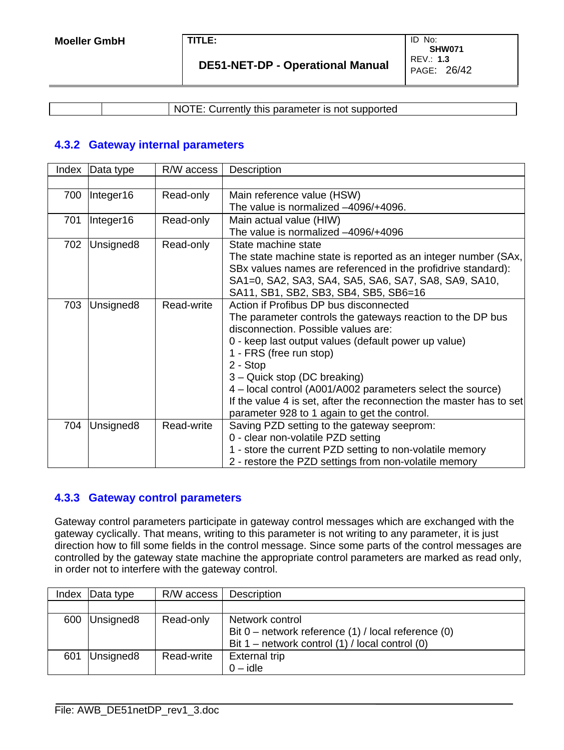<span id="page-25-0"></span>

|  | NOTE: Currently this parameter is not supported |
|--|-------------------------------------------------|
|  |                                                 |

#### **4.3.2 Gateway internal parameters**

| Index | Data type | R/W access | Description                                                         |  |  |
|-------|-----------|------------|---------------------------------------------------------------------|--|--|
|       |           |            |                                                                     |  |  |
| 700   | Integer16 | Read-only  | Main reference value (HSW)                                          |  |  |
|       |           |            | The value is normalized -4096/+4096.                                |  |  |
| 701   | Integer16 | Read-only  | Main actual value (HIW)                                             |  |  |
|       |           |            | The value is normalized -4096/+4096                                 |  |  |
| 702   | Unsigned8 | Read-only  | State machine state                                                 |  |  |
|       |           |            | The state machine state is reported as an integer number (SAx,      |  |  |
|       |           |            | SBx values names are referenced in the profidrive standard):        |  |  |
|       |           |            | SA1=0, SA2, SA3, SA4, SA5, SA6, SA7, SA8, SA9, SA10,                |  |  |
|       |           |            | SA11, SB1, SB2, SB3, SB4, SB5, SB6=16                               |  |  |
| 703   | Unsigned8 | Read-write | Action if Profibus DP bus disconnected                              |  |  |
|       |           |            | The parameter controls the gateways reaction to the DP bus          |  |  |
|       |           |            | disconnection. Possible values are:                                 |  |  |
|       |           |            | 0 - keep last output values (default power up value)                |  |  |
|       |           |            | 1 - FRS (free run stop)                                             |  |  |
|       |           |            | 2 - Stop                                                            |  |  |
|       |           |            | 3 – Quick stop (DC breaking)                                        |  |  |
|       |           |            | 4 – local control (A001/A002 parameters select the source)          |  |  |
|       |           |            | If the value 4 is set, after the reconnection the master has to set |  |  |
|       |           |            | parameter 928 to 1 again to get the control.                        |  |  |
| 704   | Unsigned8 | Read-write | Saving PZD setting to the gateway seeprom:                          |  |  |
|       |           |            | 0 - clear non-volatile PZD setting                                  |  |  |
|       |           |            | 1 - store the current PZD setting to non-volatile memory            |  |  |
|       |           |            | 2 - restore the PZD settings from non-volatile memory               |  |  |

### **4.3.3 Gateway control parameters**

Gateway control parameters participate in gateway control messages which are exchanged with the gateway cyclically. That means, writing to this parameter is not writing to any parameter, it is just direction how to fill some fields in the control message. Since some parts of the control messages are controlled by the gateway state machine the appropriate control parameters are marked as read only, in order not to interfere with the gateway control.

|     | Index Data type       | R/W access | Description                                                                                                                   |
|-----|-----------------------|------------|-------------------------------------------------------------------------------------------------------------------------------|
|     |                       |            |                                                                                                                               |
| 600 | Unsigned8             | Read-only  | Network control<br>Bit 0 – network reference (1) / local reference (0)<br>Bit 1 – network control $(1)$ / local control $(0)$ |
| 601 | Unsigned <sub>8</sub> | Read-write | <b>External trip</b><br>$0 - idle$                                                                                            |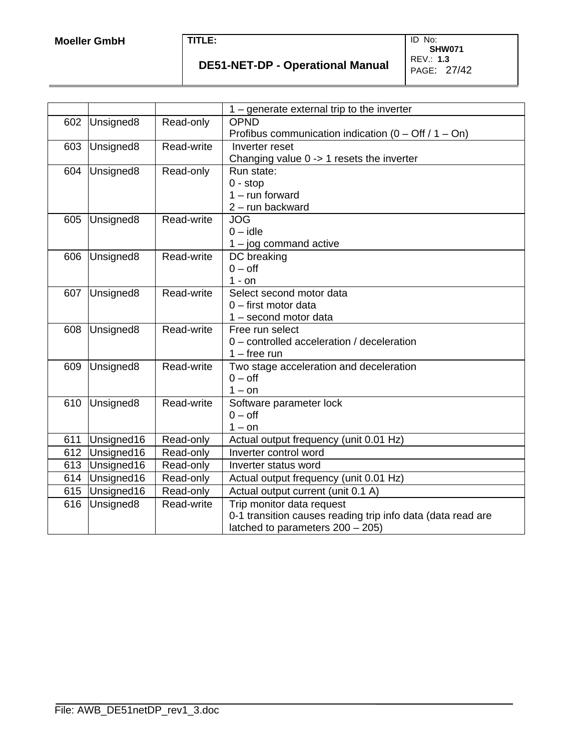|     |                       |            | $1$ – generate external trip to the inverter                          |  |  |
|-----|-----------------------|------------|-----------------------------------------------------------------------|--|--|
| 602 | Unsigned <sub>8</sub> | Read-only  | <b>OPND</b>                                                           |  |  |
|     |                       |            | Profibus communication indication $(0 - \text{Off } / 1 - \text{On})$ |  |  |
| 603 | Unsigned8             | Read-write | Inverter reset                                                        |  |  |
|     |                       |            | Changing value $0 \rightarrow 1$ resets the inverter                  |  |  |
| 604 | Unsigned8             | Read-only  | Run state:                                                            |  |  |
|     |                       |            | $0 - stop$                                                            |  |  |
|     |                       |            | $1 - run forward$                                                     |  |  |
|     |                       |            | 2 - run backward                                                      |  |  |
| 605 | Unsigned <sub>8</sub> | Read-write | <b>JOG</b>                                                            |  |  |
|     |                       |            | $0 - idle$                                                            |  |  |
|     |                       |            | $1 - j$ og command active                                             |  |  |
| 606 | Unsigned8             | Read-write | DC breaking                                                           |  |  |
|     |                       |            | $0 - off$                                                             |  |  |
|     |                       |            | $1 - on$                                                              |  |  |
| 607 | Unsigned <sub>8</sub> | Read-write | Select second motor data                                              |  |  |
|     |                       |            | 0 - first motor data                                                  |  |  |
|     |                       |            | 1 - second motor data                                                 |  |  |
| 608 | Unsigned <sub>8</sub> | Read-write | Free run select                                                       |  |  |
|     |                       |            | 0 - controlled acceleration / deceleration                            |  |  |
|     |                       |            | $1 -$ free run                                                        |  |  |
| 609 | Unsigned8             | Read-write | Two stage acceleration and deceleration                               |  |  |
|     |                       |            | $0 - off$                                                             |  |  |
|     |                       |            | $1 - on$                                                              |  |  |
| 610 | Unsigned <sub>8</sub> | Read-write | Software parameter lock                                               |  |  |
|     |                       |            | $0 - off$                                                             |  |  |
|     |                       |            | $1 - on$                                                              |  |  |
| 611 | Unsigned16            | Read-only  | Actual output frequency (unit 0.01 Hz)                                |  |  |
| 612 | Unsigned16            | Read-only  | Inverter control word                                                 |  |  |
| 613 | Unsigned16            | Read-only  | Inverter status word                                                  |  |  |
|     | 614 Unsigned16        | Read-only  | Actual output frequency (unit 0.01 Hz)                                |  |  |
|     | 615 Unsigned16        | Read-only  | Actual output current (unit 0.1 A)                                    |  |  |
| 616 | Unsigned <sub>8</sub> | Read-write | Trip monitor data request                                             |  |  |
|     |                       |            | 0-1 transition causes reading trip info data (data read are           |  |  |
|     |                       |            | latched to parameters 200 - 205)                                      |  |  |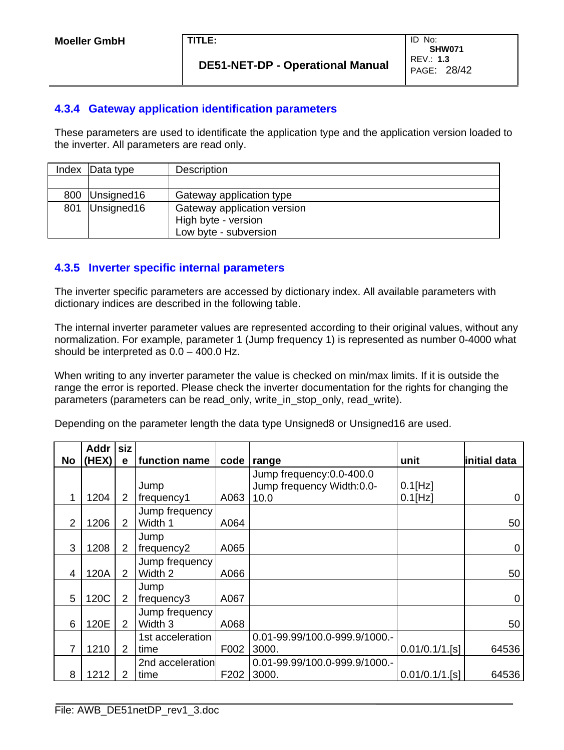#### <span id="page-27-0"></span>**4.3.4 Gateway application identification parameters**

These parameters are used to identificate the application type and the application version loaded to the inverter. All parameters are read only.

**DE51-NET-DP - Operational Manual** 

| Index Data type | Description                                        |  |  |
|-----------------|----------------------------------------------------|--|--|
|                 |                                                    |  |  |
| 800 Unsigned16  | Gateway application type                           |  |  |
| 801 Unsigned16  | Gateway application version<br>High byte - version |  |  |
|                 | Low byte - subversion                              |  |  |

#### **4.3.5 Inverter specific internal parameters**

The inverter specific parameters are accessed by dictionary index. All available parameters with dictionary indices are described in the following table.

The internal inverter parameter values are represented according to their original values, without any normalization. For example, parameter 1 (Jump frequency 1) is represented as number 0-4000 what should be interpreted as 0.0 – 400.0 Hz.

When writing to any inverter parameter the value is checked on min/max limits. If it is outside the range the error is reported. Please check the inverter documentation for the rights for changing the parameters (parameters can be read\_only, write\_in\_stop\_only, read\_write).

Depending on the parameter length the data type Unsigned8 or Unsigned16 are used.

|           | <b>Addr</b> | siz            |                  |                  |                               |                    |              |
|-----------|-------------|----------------|------------------|------------------|-------------------------------|--------------------|--------------|
| <b>No</b> | (HEX)       | e              | function name    | code             | range                         | unit               | initial data |
|           |             |                |                  |                  | Jump frequency: 0.0-400.0     |                    |              |
|           |             |                | Jump             |                  | Jump frequency Width:0.0-     | $0.1$ [Hz]         |              |
|           | 1204        | 2              | frequency1       | A063             | 10.0                          | $0.1$ [Hz]         | 0            |
|           |             |                | Jump frequency   |                  |                               |                    |              |
| 2         | 1206        | 2              | Width 1          | A064             |                               |                    | 50           |
|           |             |                | Jump             |                  |                               |                    |              |
| 3         | 1208        | 2              | frequency2       | A065             |                               |                    | 0            |
|           |             |                | Jump frequency   |                  |                               |                    |              |
| 4         | 120A        | $\overline{2}$ | Width 2          | A066             |                               |                    | 50           |
|           |             |                | Jump             |                  |                               |                    |              |
| 5         | 120C        | 2              | frequency3       | A067             |                               |                    | 0            |
|           |             |                | Jump frequency   |                  |                               |                    |              |
| 6         | 120E        | 2              | Width 3          | A068             |                               |                    | 50           |
|           |             |                | 1st acceleration |                  | 0.01-99.99/100.0-999.9/1000.- |                    |              |
| 7         | 1210        | 2              | time             | F002             | 3000.                         | $0.01/0.1/1$ .[s]  | 64536        |
|           |             |                | 2nd acceleration |                  | 0.01-99.99/100.0-999.9/1000.- |                    |              |
| 8         | 1212        | 2              | time             | F <sub>202</sub> | 3000.                         | $0.01/0.1/1$ . [s] | 64536        |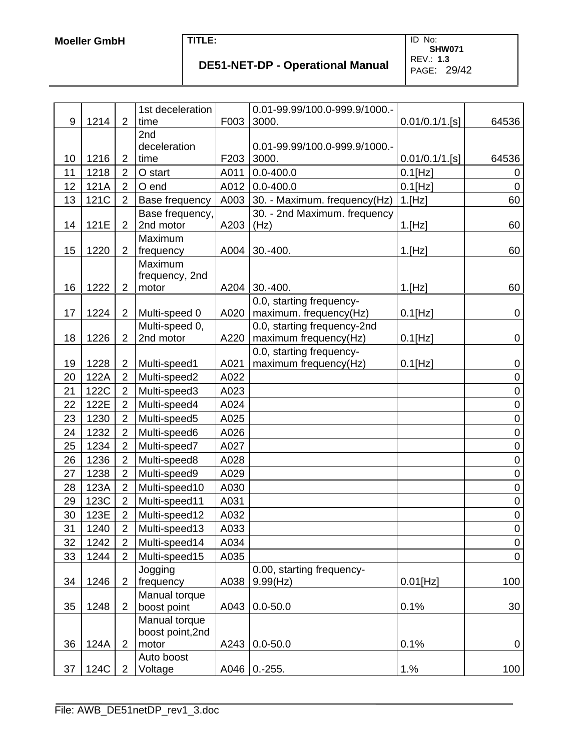|           | <b>SHW071</b> |
|-----------|---------------|
| REV : 1.3 |               |
|           | PAGE: 29/42   |

|    |      |                | 1st deceleration        |      | 0.01-99.99/100.0-999.9/1000.- |                   |                  |
|----|------|----------------|-------------------------|------|-------------------------------|-------------------|------------------|
| 9  | 1214 | $\overline{2}$ | time                    | F003 | 3000.                         | $0.01/0.1/1$ .[s] | 64536            |
|    |      |                | 2nd                     |      |                               |                   |                  |
|    |      |                | deceleration            |      | 0.01-99.99/100.0-999.9/1000.- |                   |                  |
| 10 | 1216 | $\overline{2}$ | time                    | F203 | 3000.                         | $0.01/0.1/1$ .[s] | 64536            |
| 11 | 1218 | $\overline{2}$ | O start                 | A011 | $0.0 - 400.0$                 | $0.1$ [Hz]        | 0                |
| 12 | 121A | $\overline{2}$ | O end                   | A012 | $0.0 - 400.0$                 | $0.1$ [Hz]        | $\mathbf 0$      |
| 13 | 121C | $\overline{2}$ | Base frequency          | A003 | 30. - Maximum. frequency(Hz)  | 1.[Hz]            | 60               |
|    |      |                | Base frequency,         |      | 30. - 2nd Maximum. frequency  |                   |                  |
| 14 | 121E | $\overline{2}$ | 2nd motor               | A203 | (Hz)                          | 1.[Hz]            | 60               |
|    |      |                | Maximum                 |      |                               |                   |                  |
| 15 | 1220 | $\overline{2}$ | frequency               | A004 | 30.-400.                      | 1.[Hz]            | 60               |
|    |      |                | Maximum                 |      |                               |                   |                  |
| 16 | 1222 | $\overline{2}$ | frequency, 2nd<br>motor | A204 | 30.-400.                      | 1.[Hz]            | 60               |
|    |      |                |                         |      | 0.0, starting frequency-      |                   |                  |
| 17 | 1224 | $\overline{2}$ | Multi-speed 0           | A020 | maximum. frequency(Hz)        | $0.1$ [Hz]        | 0                |
|    |      |                | Multi-speed 0,          |      | 0.0, starting frequency-2nd   |                   |                  |
| 18 | 1226 | $\overline{2}$ | 2nd motor               | A220 | maximum frequency(Hz)         | $0.1$ [Hz]        | 0                |
|    |      |                |                         |      | 0.0, starting frequency-      |                   |                  |
| 19 | 1228 | $\overline{2}$ | Multi-speed1            | A021 | maximum frequency(Hz)         | $0.1$ [Hz]        | 0                |
| 20 | 122A | $\overline{2}$ | Multi-speed2            | A022 |                               |                   | $\pmb{0}$        |
| 21 | 122C | $\overline{2}$ | Multi-speed3            | A023 |                               |                   | $\mathbf 0$      |
| 22 | 122E | $\overline{2}$ | Multi-speed4            | A024 |                               |                   | $\mathbf 0$      |
| 23 | 1230 | $\overline{2}$ | Multi-speed5            | A025 |                               |                   | $\mathbf 0$      |
| 24 | 1232 | $\overline{2}$ | Multi-speed6            | A026 |                               |                   | $\mathbf 0$      |
| 25 | 1234 | $\overline{2}$ | Multi-speed7            | A027 |                               |                   | $\mathsf 0$      |
| 26 | 1236 | $\overline{2}$ | Multi-speed8            | A028 |                               |                   | $\mathbf 0$      |
| 27 | 1238 | $\overline{2}$ | Multi-speed9            | A029 |                               |                   | $\mathbf 0$      |
| 28 | 123A | $\overline{2}$ | Multi-speed10           | A030 |                               |                   | $\mathbf 0$      |
| 29 | 123C | $\overline{2}$ | Multi-speed11           | A031 |                               |                   | $\mathbf 0$      |
| 30 | 123E | 2              | Multi-speed12           | A032 |                               |                   | $\mathsf 0$      |
| 31 | 1240 | 2              | Multi-speed13           | A033 |                               |                   | 0                |
| 32 | 1242 | $\overline{2}$ | Multi-speed14           | A034 |                               |                   | $\boldsymbol{0}$ |
| 33 | 1244 | $\overline{2}$ | Multi-speed15           | A035 |                               |                   | $\overline{0}$   |
|    |      |                | Jogging                 |      | 0.00, starting frequency-     |                   |                  |
| 34 | 1246 | $\overline{2}$ | frequency               | A038 | 9.99(Hz)                      | $0.01$ [Hz]       | 100              |
|    |      |                | Manual torque           |      |                               |                   |                  |
| 35 | 1248 | $\overline{2}$ | boost point             | A043 | $0.0 - 50.0$                  | 0.1%              | 30               |
|    |      |                | Manual torque           |      |                               |                   |                  |
|    |      |                | boost point, 2nd        |      |                               |                   |                  |
| 36 | 124A | $\overline{2}$ | motor                   | A243 | $0.0 - 50.0$                  | 0.1%              | 0                |
|    |      |                | Auto boost              |      |                               |                   |                  |
| 37 | 124C | $\overline{2}$ | Voltage                 | A046 | $0. -255.$                    | 1.%               | 100              |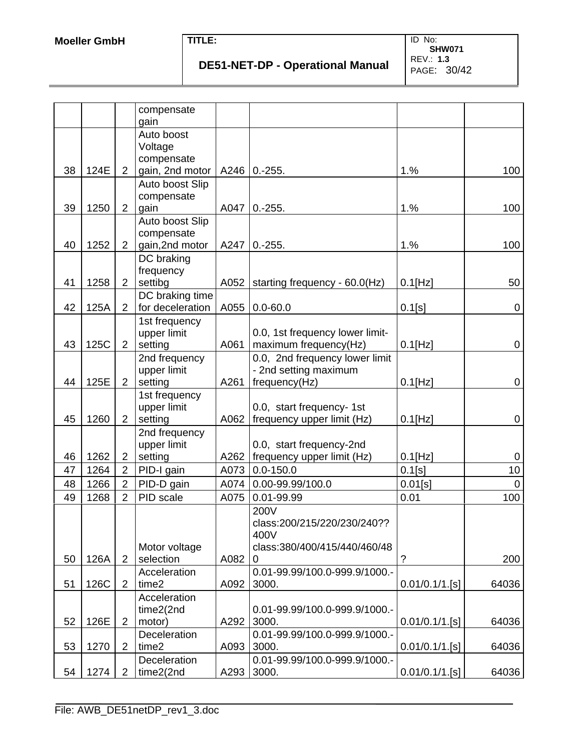ID No:  **SHW071** REV.: **1.3** PAGE: 30/42

|    |      |                | compensate<br>gain                  |      |                                                         |                    |                |
|----|------|----------------|-------------------------------------|------|---------------------------------------------------------|--------------------|----------------|
|    |      |                | Auto boost<br>Voltage<br>compensate |      |                                                         |                    |                |
| 38 | 124E | $\overline{2}$ | gain, 2nd motor                     | A246 | $0. -255.$                                              | 1.%                | 100            |
|    |      |                | Auto boost Slip                     |      |                                                         |                    |                |
|    |      |                | compensate                          |      |                                                         |                    |                |
| 39 | 1250 | $\overline{2}$ | gain                                | A047 | $0. -255.$                                              | 1.%                | 100            |
|    |      |                | Auto boost Slip                     |      |                                                         |                    |                |
| 40 | 1252 | $\overline{2}$ | compensate<br>gain, 2nd motor       | A247 | $0. -255.$                                              | 1.%                | 100            |
|    |      |                | DC braking                          |      |                                                         |                    |                |
|    |      |                | frequency                           |      |                                                         |                    |                |
| 41 | 1258 | $\overline{2}$ | settibg                             | A052 | starting frequency - 60.0(Hz)                           | $0.1$ [Hz]         | 50             |
|    |      |                | DC braking time                     |      |                                                         |                    |                |
| 42 | 125A | $\overline{2}$ | for deceleration                    | A055 | $0.0 - 60.0$                                            | 0.1[s]             | 0              |
|    |      |                | 1st frequency                       |      |                                                         |                    |                |
|    |      |                | upper limit                         |      | 0.0, 1st frequency lower limit-                         |                    |                |
| 43 | 125C | $\overline{2}$ | setting                             | A061 | maximum frequency(Hz)                                   | $0.1$ [Hz]         | 0              |
|    |      |                | 2nd frequency<br>upper limit        |      | 0.0, 2nd frequency lower limit<br>- 2nd setting maximum |                    |                |
| 44 | 125E | $\overline{2}$ | setting                             | A261 | frequency(Hz)                                           | $0.1$ [Hz]         | 0              |
|    |      |                | 1st frequency                       |      |                                                         |                    |                |
|    |      |                | upper limit                         |      | 0.0, start frequency- 1st                               |                    |                |
| 45 | 1260 | $\overline{2}$ | setting                             | A062 | frequency upper limit (Hz)                              | $0.1$ [Hz]         | 0              |
|    |      |                | 2nd frequency                       |      |                                                         |                    |                |
|    |      |                | upper limit                         |      | 0.0, start frequency-2nd                                |                    |                |
| 46 | 1262 | $\overline{2}$ | setting                             | A262 | frequency upper limit (Hz)                              | $0.1$ [Hz]         | 0              |
| 47 | 1264 | $\overline{2}$ | PID-I gain                          | A073 | $0.0 - 150.0$                                           | 0.1[s]             | 10             |
| 48 | 1266 | $\overline{2}$ | PID-D gain                          | A074 | 0.00-99.99/100.0                                        | 0.01[s]            | $\overline{0}$ |
| 49 | 1268 | $\overline{2}$ | PID scale                           | A075 | 0.01-99.99                                              | 0.01               | 100            |
|    |      |                |                                     |      | 200V<br>class:200/215/220/230/240??                     |                    |                |
|    |      |                |                                     |      | 400V                                                    |                    |                |
|    |      |                | Motor voltage                       |      | class: 380/400/415/440/460/48                           |                    |                |
| 50 | 126A | $\overline{2}$ | selection                           | A082 | 0                                                       | $\overline{?}$     | 200            |
|    |      |                | Acceleration                        |      | 0.01-99.99/100.0-999.9/1000.-                           |                    |                |
| 51 | 126C | $\overline{2}$ | time2                               | A092 | 3000.                                                   | $0.01/0.1/1$ . [s] | 64036          |
|    |      |                | Acceleration                        |      |                                                         |                    |                |
|    |      |                | time2(2nd                           |      | 0.01-99.99/100.0-999.9/1000.-                           |                    |                |
| 52 | 126E | $\overline{2}$ | motor)<br>Deceleration              | A292 | 3000.<br>0.01-99.99/100.0-999.9/1000.-                  | $0.01/0.1/1$ .[s]  | 64036          |
| 53 | 1270 | $\overline{2}$ | time2                               | A093 | 3000.                                                   | $0.01/0.1/1$ . [s] | 64036          |
|    |      |                | Deceleration                        |      | 0.01-99.99/100.0-999.9/1000.-                           |                    |                |
| 54 | 1274 | 2              | time2(2nd                           | A293 | 3000.                                                   | $0.01/0.1/1$ .[s]  | 64036          |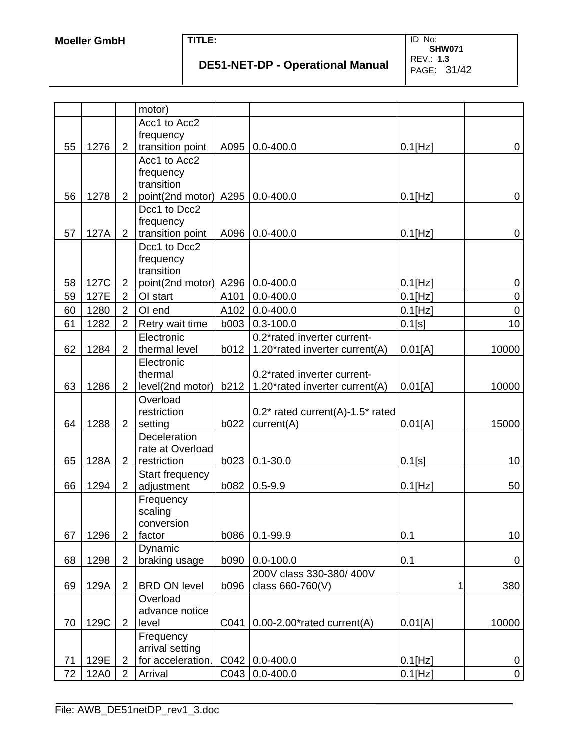ID No:  **SHW071** REV.: **1.3** PAGE: 31/42

|    |      |                | motor)                       |             |                                     |            |                  |
|----|------|----------------|------------------------------|-------------|-------------------------------------|------------|------------------|
|    |      |                | Acc1 to Acc2                 |             |                                     |            |                  |
|    |      |                | frequency                    |             |                                     |            |                  |
| 55 | 1276 | $\overline{2}$ | transition point             | A095        | $0.0 - 400.0$                       | $0.1$ [Hz] | $\mathbf 0$      |
|    |      |                | Acc1 to Acc2                 |             |                                     |            |                  |
|    |      |                | frequency                    |             |                                     |            |                  |
|    |      |                | transition                   |             |                                     |            |                  |
| 56 | 1278 | $\overline{2}$ | point(2nd motor) A295        |             | $0.0 - 400.0$                       | $0.1$ [Hz] | $\boldsymbol{0}$ |
|    |      |                | Dcc1 to Dcc2                 |             |                                     |            |                  |
|    |      |                | frequency                    |             |                                     |            |                  |
| 57 | 127A | $\overline{2}$ | transition point             | A096        | $0.0 - 400.0$                       | $0.1$ [Hz] | $\boldsymbol{0}$ |
|    |      |                | Dcc1 to Dcc2                 |             |                                     |            |                  |
|    |      |                | frequency                    |             |                                     |            |                  |
|    |      |                | transition                   |             |                                     |            |                  |
| 58 | 127C | $\overline{2}$ | point(2nd motor)             | A296        | $0.0 - 400.0$                       | $0.1$ [Hz] | 0                |
| 59 | 127E | $\overline{2}$ | OI start                     | A101        | $0.0 - 400.0$                       | $0.1$ [Hz] | $\mathbf 0$      |
| 60 | 1280 | $\overline{2}$ | OI end                       | A102        | $0.0 - 400.0$                       | $0.1$ [Hz] | $\mathbf 0$      |
| 61 | 1282 | $\overline{2}$ | Retry wait time              | b003        | $0.3 - 100.0$                       | 0.1[s]     | 10               |
|    |      |                | Electronic                   |             | 0.2*rated inverter current-         |            |                  |
| 62 | 1284 | $\overline{2}$ | thermal level                | b012        | 1.20*rated inverter current(A)      | 0.01[A]    | 10000            |
|    |      |                | Electronic                   |             |                                     |            |                  |
|    |      |                | thermal                      |             | 0.2*rated inverter current-         |            |                  |
| 63 | 1286 | $\overline{2}$ | level(2nd motor)             | b212        | 1.20*rated inverter current(A)      | 0.01[A]    | 10000            |
|    |      |                | Overload                     |             |                                     |            |                  |
|    |      |                | restriction                  |             | $0.2^*$ rated current(A)-1.5* rated |            |                  |
| 64 | 1288 | $\overline{2}$ | setting                      | b022        | current(A)                          | 0.01[A]    | 15000            |
|    |      |                | Deceleration                 |             |                                     |            |                  |
|    |      |                | rate at Overload             |             |                                     |            |                  |
| 65 | 128A | $\overline{2}$ | restriction                  | b023        | $0.1 - 30.0$                        | 0.1[s]     | 10               |
|    |      |                | Start frequency              |             |                                     |            |                  |
| 66 | 1294 | $\overline{2}$ | adjustment                   | b082        | $0.5 - 9.9$                         | $0.1$ [Hz] | 50               |
|    |      |                | Frequency                    |             |                                     |            |                  |
|    |      |                | scaling                      |             |                                     |            |                  |
|    |      |                | conversion                   |             |                                     |            |                  |
| 67 | 1296 | $\overline{2}$ | factor                       | b086        | $0.1 - 99.9$                        | 0.1        | 10               |
|    |      |                | Dynamic                      |             |                                     |            |                  |
| 68 | 1298 | 2              | braking usage                | <b>b090</b> | $0.0 - 100.0$                       | 0.1        | 0                |
|    |      |                |                              |             | 200V class 330-380/ 400V            |            |                  |
| 69 | 129A | $\overline{2}$ | <b>BRD ON level</b>          | b096        | class 660-760(V)                    | 1          | 380              |
|    |      |                | Overload                     |             |                                     |            |                  |
| 70 | 129C | $\overline{2}$ | advance notice<br>level      | C041        | $0.00-2.00$ *rated current(A)       | 0.01[A]    | 10000            |
|    |      |                |                              |             |                                     |            |                  |
|    |      |                | Frequency<br>arrival setting |             |                                     |            |                  |
| 71 | 129E | $\overline{2}$ | for acceleration.            |             | $CO42$   0.0-400.0                  | $0.1$ [Hz] | 0                |
| 72 | 12A0 | $\overline{2}$ | Arrival                      | C043        | $0.0 - 400.0$                       | $0.1$ [Hz] | $\boldsymbol{0}$ |
|    |      |                |                              |             |                                     |            |                  |

**DE51-NET-DP - Operational Manual**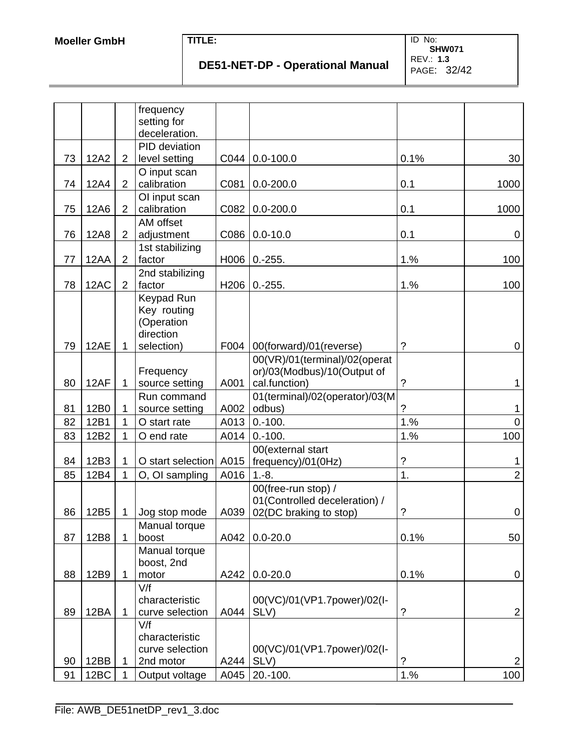ID No:  **SHW071** REV.: **1.3** PAGE: 32/42

|    |             |                | frequency<br>setting for                                           |      |                                                                                |                  |                |
|----|-------------|----------------|--------------------------------------------------------------------|------|--------------------------------------------------------------------------------|------------------|----------------|
|    |             |                | deceleration.                                                      |      |                                                                                |                  |                |
|    |             |                | PID deviation                                                      |      |                                                                                |                  |                |
| 73 | 12A2        | $\overline{2}$ | level setting                                                      | C044 | $0.0 - 100.0$                                                                  | 0.1%             | 30             |
| 74 | 12A4        | $\overline{2}$ | O input scan<br>calibration                                        | C081 | $0.0 - 200.0$                                                                  | 0.1              | 1000           |
| 75 | 12A6        | $\overline{2}$ | OI input scan<br>calibration                                       | C082 | $0.0 - 200.0$                                                                  | 0.1              | 1000           |
| 76 | <b>12A8</b> | $\overline{2}$ | AM offset<br>adjustment                                            | C086 | $0.0 - 10.0$                                                                   | 0.1              | 0              |
| 77 | 12AA        | $\overline{2}$ | 1st stabilizing<br>factor                                          | H006 | $0. -255.$                                                                     | 1.%              | 100            |
| 78 | 12AC        | $\overline{2}$ | 2nd stabilizing<br>factor                                          | H206 | $0.-255.$                                                                      | 1.%              | 100            |
| 79 | 12AE        | 1              | Keypad Run<br>Key routing<br>(Operation<br>direction<br>selection) | F004 | 00(forward)/01(reverse)                                                        | $\tilde{?}$      | $\mathbf 0$    |
|    |             |                |                                                                    |      | 00(VR)/01(terminal)/02(operat                                                  |                  |                |
|    |             |                | Frequency                                                          |      | or)/03(Modbus)/10(Output of                                                    |                  |                |
| 80 | 12AF        | 1              | source setting                                                     | A001 | cal.function)                                                                  | $\overline{?}$   | 1              |
| 81 | 12B0        | 1              | Run command<br>source setting                                      | A002 | 01(terminal)/02(operator)/03(M<br>odbus)                                       | $\gamma$         | 1              |
| 82 | 12B1        | 1              | O start rate                                                       | A013 | $0.-100.$                                                                      | 1.%              | $\overline{0}$ |
| 83 | 12B2        | 1              | O end rate                                                         | A014 | $0. -100.$                                                                     | 1.%              | 100            |
|    |             |                |                                                                    |      | 00(external start                                                              |                  |                |
| 84 | 12B3        | 1              | O start selection                                                  | A015 | frequency)/01(0Hz)                                                             | ?                | 1              |
| 85 | 12B4        | 1              | O, OI sampling                                                     | A016 | $1.-8.$                                                                        | $\overline{1}$ . | $\overline{2}$ |
| 86 | 12B5        | 1              | Jog stop mode                                                      | A039 | 00(free-run stop) /<br>01(Controlled deceleration) /<br>02(DC braking to stop) | ?                | $\mathbf 0$    |
| 87 | 12B8        | 1              | Manual torque<br>boost                                             | A042 | $0.0 - 20.0$                                                                   | 0.1%             | 50             |
|    |             |                | Manual torque<br>boost, 2nd                                        |      |                                                                                |                  |                |
| 88 | 12B9        | 1              | motor<br>V/f                                                       | A242 | $0.0 - 20.0$                                                                   | 0.1%             | 0              |
| 89 | 12BA        | 1              | characteristic<br>curve selection                                  | A044 | 00(VC)/01(VP1.7power)/02(I-<br>SLV)                                            | $\tilde{?}$      | $\overline{2}$ |
| 90 | 12BB        | 1              | V/f<br>characteristic<br>curve selection<br>2nd motor              | A244 | 00(VC)/01(VP1.7power)/02(I-<br>SLV)                                            | ?                | $\overline{2}$ |
| 91 | 12BC        |                | Output voltage                                                     | A045 | $20.-100.$                                                                     | 1.%              | 100            |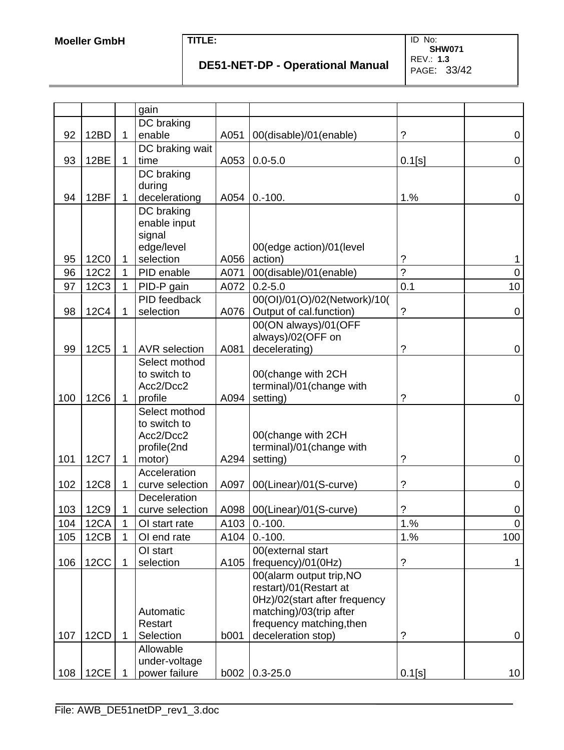ID No:  **SHW071** REV.: **1.3** PAGE: 33/42

|     |             |             | gain                      |      |                                                |                          |                 |
|-----|-------------|-------------|---------------------------|------|------------------------------------------------|--------------------------|-----------------|
|     |             |             | DC braking                |      |                                                |                          |                 |
| 92  | 12BD        | 1           | enable                    | A051 | 00(disable)/01(enable)                         | ?                        | 0               |
|     |             |             | DC braking wait           |      |                                                |                          |                 |
| 93  | 12BE        | 1           | time                      | A053 | $0.0 - 5.0$                                    | 0.1[s]                   | 0               |
|     |             |             | DC braking                |      |                                                |                          |                 |
| 94  | 12BF        | $\mathbf 1$ | during<br>decelerationg   | A054 | $0. - 100.$                                    | 1.%                      | $\pmb{0}$       |
|     |             |             | DC braking                |      |                                                |                          |                 |
|     |             |             | enable input              |      |                                                |                          |                 |
|     |             |             | signal                    |      |                                                |                          |                 |
|     |             |             | edge/level                |      | 00(edge action)/01(level                       |                          |                 |
| 95  | <b>12C0</b> | 1           | selection                 | A056 | action)                                        | ?                        |                 |
| 96  | 12C2        | 1           | PID enable                | A071 | 00(disable)/01(enable)                         | $\overline{\mathcal{C}}$ | $\mathbf 0$     |
| 97  | 12C3        | 1           | PID-P gain                | A072 | $0.2 - 5.0$                                    | 0.1                      | 10              |
|     |             |             | PID feedback              |      | 00(OI)/01(O)/02(Network)/10(                   |                          |                 |
| 98  | <b>12C4</b> | 1           | selection                 | A076 | Output of cal.function)                        | $\overline{\cdot}$       | $\pmb{0}$       |
|     |             |             |                           |      | 00(ON always)/01(OFF                           |                          |                 |
|     |             |             |                           |      | always)/02(OFF on                              |                          |                 |
| 99  | <b>12C5</b> | 1           | <b>AVR</b> selection      | A081 | decelerating)                                  | ?                        | $\mathbf 0$     |
|     |             |             | Select mothod             |      |                                                |                          |                 |
|     |             |             | to switch to<br>Acc2/Dcc2 |      | 00(change with 2CH<br>terminal)/01(change with |                          |                 |
| 100 | <b>12C6</b> | 1           | profile                   | A094 | setting)                                       | ?                        | 0               |
|     |             |             | Select mothod             |      |                                                |                          |                 |
|     |             |             | to switch to              |      |                                                |                          |                 |
|     |             |             | Acc2/Dcc2                 |      | 00(change with 2CH                             |                          |                 |
|     |             |             | profile(2nd               |      | terminal)/01(change with                       |                          |                 |
| 101 | <b>12C7</b> | 1           | motor)                    | A294 | setting)                                       | ?                        | $\pmb{0}$       |
|     |             |             | Acceleration              |      |                                                |                          |                 |
| 102 | <b>12C8</b> | 1           | curve selection           | A097 | 00(Linear)/01(S-curve)                         | ?                        | 0               |
|     |             |             | Deceleration              |      |                                                |                          |                 |
| 103 | <b>12C9</b> | 1           | curve selection           | A098 | 00(Linear)/01(S-curve)                         | ?                        | $\pmb{0}$       |
| 104 | 12CA        | 1           | OI start rate             | A103 | $0. -100.$                                     | 1.%                      | $\Omega$        |
| 105 | 12CB        | 1           | OI end rate               | A104 | $0. -100.$                                     | 1.%                      | 100             |
| 106 | 12CC        | 1           | OI start<br>selection     | A105 | 00(external start<br>frequency)/01(0Hz)        | ?                        | 1               |
|     |             |             |                           |      | 00(alarm output trip, NO                       |                          |                 |
|     |             |             |                           |      | restart)/01 (Restart at                        |                          |                 |
|     |             |             |                           |      | 0Hz)/02(start after frequency                  |                          |                 |
|     |             |             | Automatic                 |      | matching)/03(trip after                        |                          |                 |
|     |             |             | Restart                   |      | frequency matching, then                       |                          |                 |
| 107 | 12CD        | 1           | Selection                 | b001 | deceleration stop)                             | ?                        | 0               |
|     |             |             | Allowable                 |      |                                                |                          |                 |
|     |             |             | under-voltage             |      |                                                |                          |                 |
| 108 | 12CE        | 1           | power failure             | b002 | $0.3 - 25.0$                                   | 0.1[s]                   | 10 <sub>1</sub> |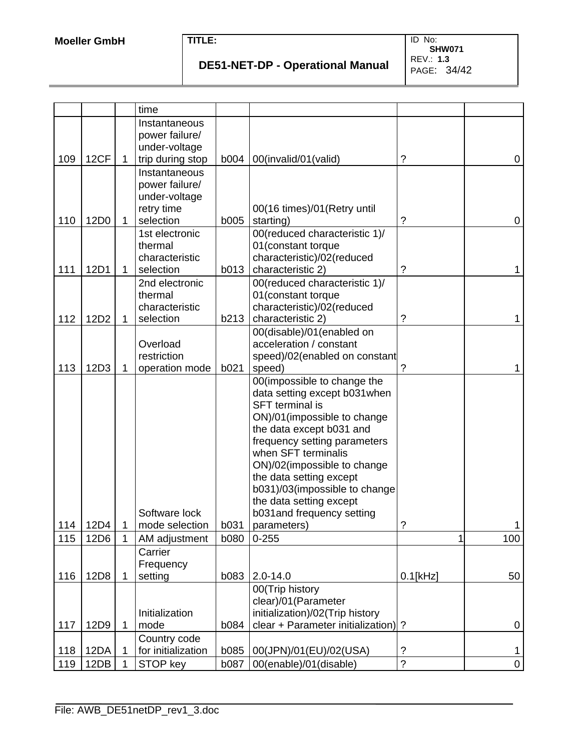ID No:  **SHW071** REV.: **1.3** PAGE: 34/42

|     |                  |   | time                        |             |                                                        |                  |                  |
|-----|------------------|---|-----------------------------|-------------|--------------------------------------------------------|------------------|------------------|
|     |                  |   | Instantaneous               |             |                                                        |                  |                  |
|     |                  |   | power failure/              |             |                                                        |                  |                  |
|     |                  |   | under-voltage               |             |                                                        |                  |                  |
| 109 | 12CF             | 1 | trip during stop            | <b>b004</b> | 00(invalid/01(valid)                                   | ?                | 0                |
|     |                  |   | Instantaneous               |             |                                                        |                  |                  |
|     |                  |   | power failure/              |             |                                                        |                  |                  |
|     |                  |   | under-voltage               |             |                                                        |                  |                  |
|     |                  |   | retry time                  |             | 00(16 times)/01(Retry until                            |                  |                  |
| 110 | 12D <sub>0</sub> | 1 | selection                   | <b>b005</b> | starting)                                              | ?                | 0                |
|     |                  |   | 1st electronic              |             | 00(reduced characteristic 1)/                          |                  |                  |
|     |                  |   | thermal                     |             | 01 (constant torque                                    |                  |                  |
| 111 | 12D1             | 1 | characteristic<br>selection | b013        | characteristic)/02(reduced<br>characteristic 2)        | ?                |                  |
|     |                  |   | 2nd electronic              |             | 00(reduced characteristic 1)/                          |                  |                  |
|     |                  |   | thermal                     |             | 01(constant torque                                     |                  |                  |
|     |                  |   | characteristic              |             | characteristic)/02(reduced                             |                  |                  |
| 112 | 12D2             | 1 | selection                   | b213        | characteristic 2)                                      | ?                | 1                |
|     |                  |   |                             |             | 00(disable)/01(enabled on                              |                  |                  |
|     |                  |   | Overload                    |             | acceleration / constant                                |                  |                  |
|     |                  |   | restriction                 |             | speed)/02(enabled on constant                          |                  |                  |
| 113 | 12D3             | 1 | operation mode              | b021        | speed)                                                 | ?                | 1                |
|     |                  |   |                             |             | 00(impossible to change the                            |                  |                  |
|     |                  |   |                             |             | data setting except b031when                           |                  |                  |
|     |                  |   |                             |             | <b>SFT</b> terminal is                                 |                  |                  |
|     |                  |   |                             |             | ON)/01(impossible to change                            |                  |                  |
|     |                  |   |                             |             | the data except b031 and                               |                  |                  |
|     |                  |   |                             |             | frequency setting parameters                           |                  |                  |
|     |                  |   |                             |             | when SFT terminalis                                    |                  |                  |
|     |                  |   |                             |             | ON)/02(impossible to change<br>the data setting except |                  |                  |
|     |                  |   |                             |             | b031)/03(impossible to change                          |                  |                  |
|     |                  |   |                             |             | the data setting except                                |                  |                  |
|     |                  |   | Software lock               |             | b031and frequency setting                              |                  |                  |
| 114 | 12D4             |   | mode selection              | b031        | parameters)                                            | ?                |                  |
| 115 | 12D6             | 1 | AM adjustment               | b080        | $0 - 255$                                              | 1                | 100              |
|     |                  |   | Carrier                     |             |                                                        |                  |                  |
|     |                  |   | Frequency                   |             |                                                        |                  |                  |
| 116 | 12D8             | 1 | setting                     | b083        | $2.0 - 14.0$                                           | $0.1$ [kHz]      | 50               |
|     |                  |   |                             |             | 00(Trip history                                        |                  |                  |
|     |                  |   |                             |             | clear)/01(Parameter                                    |                  |                  |
|     |                  |   | Initialization              |             | initialization)/02(Trip history                        |                  |                  |
| 117 | 12D9             | 1 | mode                        | b084        | $clear + Parameter initialization)$ ?                  |                  | $\boldsymbol{0}$ |
|     |                  |   | Country code                |             |                                                        |                  |                  |
| 118 | 12DA             | 1 | for initialization          | b085        | 00(JPN)/01(EU)/02(USA)                                 | ?                | 1                |
| 119 | 12DB             |   | STOP key                    | b087        | 00(enable)/01(disable)                                 | $\boldsymbol{?}$ | $\pmb{0}$        |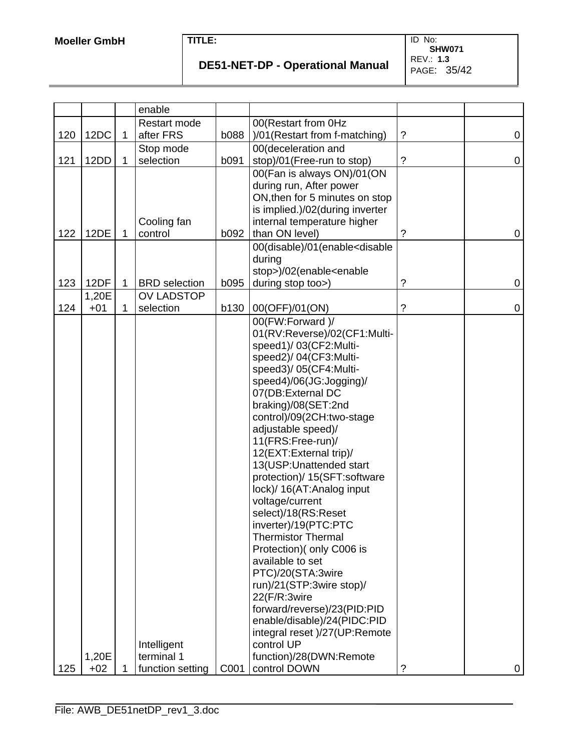ID No:  **SHW071** REV.: **1.3** PAGE: 35/42

|     |       |   | enable                 |      |                                                                     |   |   |
|-----|-------|---|------------------------|------|---------------------------------------------------------------------|---|---|
|     |       |   | <b>Restart mode</b>    |      | 00(Restart from 0Hz                                                 |   |   |
| 120 | 12DC  | 1 | after FRS              | b088 | )/01(Restart from f-matching)                                       | ? | 0 |
|     |       |   | Stop mode              |      | 00(deceleration and                                                 |   |   |
| 121 | 12DD  | 1 | selection              | b091 | stop)/01(Free-run to stop)                                          | ? | 0 |
|     |       |   |                        |      | 00(Fan is always ON)/01(ON                                          |   |   |
|     |       |   |                        |      | during run, After power                                             |   |   |
|     |       |   |                        |      | ON, then for 5 minutes on stop                                      |   |   |
|     |       |   |                        |      | is implied.)/02(during inverter                                     |   |   |
| 122 | 12DE  | 1 | Cooling fan<br>control | b092 | internal temperature higher<br>than ON level)                       | ? | 0 |
|     |       |   |                        |      | 00(disable)/01(enable <disable< td=""><td></td><td></td></disable<> |   |   |
|     |       |   |                        |      | during                                                              |   |   |
|     |       |   |                        |      | stop>)/02(enable <enable< td=""><td></td><td></td></enable<>        |   |   |
| 123 | 12DF  | 1 | <b>BRD</b> selection   | b095 | during stop too>)                                                   | ? | 0 |
|     | 1,20E |   | <b>OV LADSTOP</b>      |      |                                                                     |   |   |
| 124 | $+01$ | 1 | selection              | b130 | 00(OFF)/01(ON)                                                      | ? | 0 |
|     |       |   |                        |      | 00(FW:Forward)/                                                     |   |   |
|     |       |   |                        |      | 01(RV:Reverse)/02(CF1:Multi-                                        |   |   |
|     |       |   |                        |      | speed1)/03(CF2:Multi-                                               |   |   |
|     |       |   |                        |      | speed2)/04(CF3:Multi-                                               |   |   |
|     |       |   |                        |      | speed3)/05(CF4:Multi-                                               |   |   |
|     |       |   |                        |      | speed4)/06(JG:Jogging)/                                             |   |   |
|     |       |   |                        |      | 07(DB:External DC                                                   |   |   |
|     |       |   |                        |      | braking)/08(SET:2nd                                                 |   |   |
|     |       |   |                        |      | control)/09(2CH:two-stage<br>adjustable speed)/                     |   |   |
|     |       |   |                        |      | 11(FRS:Free-run)/                                                   |   |   |
|     |       |   |                        |      | 12(EXT:External trip)/                                              |   |   |
|     |       |   |                        |      | 13(USP: Unattended start                                            |   |   |
|     |       |   |                        |      | protection)/ 15(SFT:software                                        |   |   |
|     |       |   |                        |      | lock)/ 16(AT:Analog input                                           |   |   |
|     |       |   |                        |      | voltage/current                                                     |   |   |
|     |       |   |                        |      | select)/18(RS:Reset                                                 |   |   |
|     |       |   |                        |      | inverter)/19(PTC:PTC                                                |   |   |
|     |       |   |                        |      | <b>Thermistor Thermal</b>                                           |   |   |
|     |       |   |                        |      | Protection) (only C006 is                                           |   |   |
|     |       |   |                        |      | available to set                                                    |   |   |
|     |       |   |                        |      | PTC)/20(STA:3wire                                                   |   |   |
|     |       |   |                        |      | run)/21(STP:3wire stop)/<br>22(F/R:3wire                            |   |   |
|     |       |   |                        |      | forward/reverse)/23(PID:PID                                         |   |   |
|     |       |   |                        |      | enable/disable)/24(PIDC:PID                                         |   |   |
|     |       |   |                        |      | integral reset )/27(UP:Remote                                       |   |   |
|     |       |   | Intelligent            |      | control UP                                                          |   |   |
|     | 1,20E |   | terminal 1             |      | function)/28(DWN:Remote                                             |   |   |
| 125 | $+02$ | 1 | function setting       | C001 | control DOWN                                                        | ? | 0 |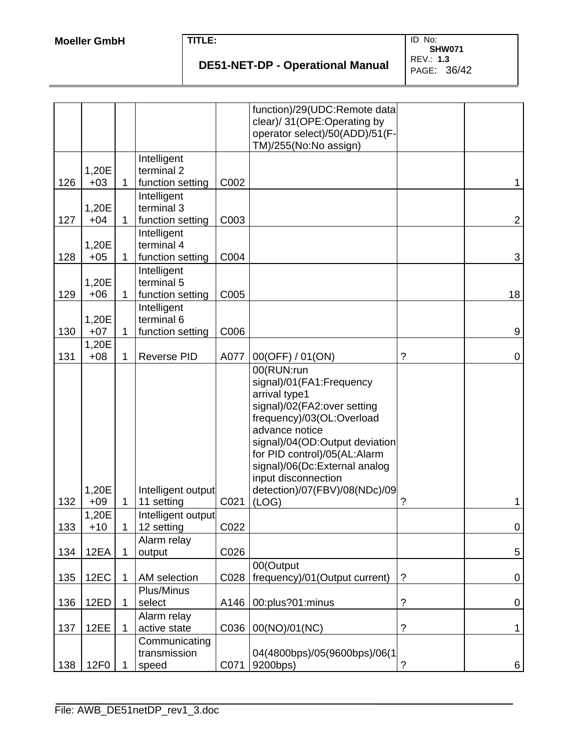ID No:  **SHW071** REV.: **1.3** PAGE: 36/42

|     |                |             |                                               |      | function)/29(UDC:Remote data<br>clear)/31(OPE:Operating by                                                                                                                                                                                                                                       |                      |                |
|-----|----------------|-------------|-----------------------------------------------|------|--------------------------------------------------------------------------------------------------------------------------------------------------------------------------------------------------------------------------------------------------------------------------------------------------|----------------------|----------------|
|     |                |             |                                               |      | operator select)/50(ADD)/51(F-<br>TM)/255(No:No assign)                                                                                                                                                                                                                                          |                      |                |
|     | 1,20E          |             | Intelligent<br>terminal 2                     |      |                                                                                                                                                                                                                                                                                                  |                      |                |
| 126 | $+03$          | 1           | function setting                              | C002 |                                                                                                                                                                                                                                                                                                  |                      | 1              |
| 127 | 1,20E<br>$+04$ | 1           | Intelligent<br>terminal 3<br>function setting | C003 |                                                                                                                                                                                                                                                                                                  |                      | $\overline{2}$ |
| 128 | 1,20E<br>$+05$ | 1           | Intelligent<br>terminal 4<br>function setting | C004 |                                                                                                                                                                                                                                                                                                  |                      | 3              |
| 129 | 1,20E<br>$+06$ | 1           | Intelligent<br>terminal 5<br>function setting | C005 |                                                                                                                                                                                                                                                                                                  |                      | 18             |
|     | 1,20E          |             | Intelligent<br>terminal 6                     |      |                                                                                                                                                                                                                                                                                                  |                      |                |
| 130 | $+07$<br>1,20E | 1           | function setting                              | C006 |                                                                                                                                                                                                                                                                                                  |                      | 9              |
| 131 | $+08$          | 1           | <b>Reverse PID</b>                            | A077 | 00(OFF) / 01(ON)                                                                                                                                                                                                                                                                                 | ?                    | 0              |
|     | 1,20E          |             | Intelligent output                            |      | 00(RUN:run<br>signal)/01(FA1:Frequency<br>arrival type1<br>signal)/02(FA2:over setting<br>frequency)/03(OL:Overload<br>advance notice<br>signal)/04(OD:Output deviation<br>for PID control)/05(AL:Alarm<br>signal)/06(Dc:External analog<br>input disconnection<br>detection)/07(FBV)/08(NDc)/09 | ?                    |                |
| 132 | $+09$<br>1,20E | $\mathbf 1$ | 11 setting<br>Intelligent output              | C021 | (LOG)                                                                                                                                                                                                                                                                                            |                      | 1              |
| 133 | $+10$          | 1           | 12 setting                                    | C022 |                                                                                                                                                                                                                                                                                                  |                      | 0              |
| 134 | 12EA           | 1           | Alarm relay<br>output                         | C026 |                                                                                                                                                                                                                                                                                                  |                      | 5              |
| 135 | 12EC           | 1           | AM selection                                  | C028 | 00(Output<br>frequency)/01(Output current)                                                                                                                                                                                                                                                       | $\tilde{?}$          | 0              |
| 136 | <b>12ED</b>    | 1           | Plus/Minus<br>select                          | A146 | 00:plus?01:minus                                                                                                                                                                                                                                                                                 | ?                    | 0              |
| 137 | 12EE           | 1           | Alarm relay<br>active state                   | C036 | 00(NO)/01(NC)                                                                                                                                                                                                                                                                                    | ?                    | 1              |
| 138 | 12F0           | 1           | Communicating<br>transmission<br>speed        | C071 | 04(4800bps)/05(9600bps)/06(1<br>9200bps)                                                                                                                                                                                                                                                         | $\ddot{\phantom{0}}$ | 6              |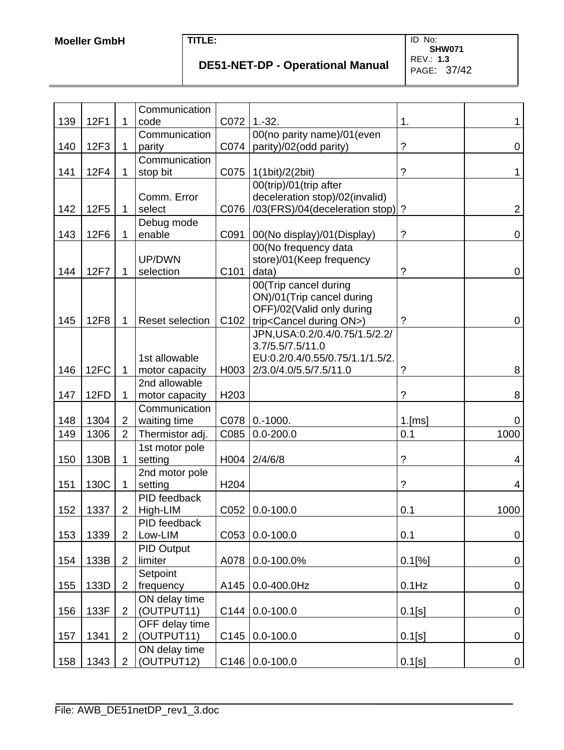ID No:  **SHW071** REV.: **1.3** PAGE: 37/42

|     |      |                | Communication            |                  |                                         |                          |                  |
|-----|------|----------------|--------------------------|------------------|-----------------------------------------|--------------------------|------------------|
| 139 | 12F1 | 1              | code                     | C072             | $1.-32.$                                | 1.                       | 1                |
|     |      |                | Communication            |                  | 00(no parity name)/01(even              |                          |                  |
| 140 | 12F3 | 1              | parity                   | C074             | parity)/02(odd parity)                  | $\gamma$                 | 0                |
|     |      |                | Communication            |                  |                                         |                          |                  |
| 141 | 12F4 | 1              | stop bit                 | C075             | 1(1bit)/2(2bit)                         | ?                        | 1                |
|     |      |                |                          |                  | 00(trip)/01(trip after                  |                          |                  |
|     |      |                | Comm. Error              |                  | deceleration stop)/02(invalid)          |                          |                  |
| 142 | 12F5 | 1              | select                   | C076             | $/03(FRS)/04$ (deceleration stop) ?     |                          | $\overline{2}$   |
| 143 | 12F6 | 1              | Debug mode<br>enable     | C091             | 00(No display)/01(Display)              | ?                        | $\mathbf 0$      |
|     |      |                |                          |                  | 00(No frequency data                    |                          |                  |
|     |      |                | UP/DWN                   |                  | store)/01(Keep frequency                |                          |                  |
| 144 | 12F7 | 1              | selection                | C101             | data)                                   | ?                        | $\boldsymbol{0}$ |
|     |      |                |                          |                  | 00(Trip cancel during                   |                          |                  |
|     |      |                |                          |                  | ON)/01(Trip cancel during               |                          |                  |
|     |      |                |                          |                  | OFF)/02(Valid only during               |                          |                  |
| 145 | 12F8 | 1              | <b>Reset selection</b>   | C <sub>102</sub> | trip <cancel during="" on="">)</cancel> | $\gamma$                 | 0                |
|     |      |                |                          |                  | JPN, USA: 0.2/0.4/0.75/1.5/2.2/         |                          |                  |
|     |      |                |                          |                  | 3.7/5.5/7.5/11.0                        |                          |                  |
|     |      |                | 1st allowable            |                  | EU:0.2/0.4/0.55/0.75/1.1/1.5/2.         |                          |                  |
| 146 | 12FC | 1              | motor capacity           | H003             | 2/3.0/4.0/5.5/7.5/11.0                  | ?                        | 8                |
|     |      |                | 2nd allowable            |                  |                                         |                          |                  |
| 147 | 12FD | 1              | motor capacity           | H <sub>203</sub> |                                         | ?                        | 8                |
|     |      |                | Communication            |                  |                                         |                          |                  |
| 148 | 1304 | $\overline{2}$ | waiting time             | C078             | $0. - 1000.$                            | $1$ . [ms]               | 0                |
| 149 | 1306 | $\overline{2}$ | Thermistor adj.          | C085             | $0.0 - 200.0$                           | 0.1                      | 1000             |
|     |      |                | 1st motor pole           |                  |                                         |                          |                  |
| 150 | 130B | 1              | setting                  | H004             | 2/4/6/8                                 | $\overline{\phantom{0}}$ | 4                |
|     |      |                | 2nd motor pole           |                  |                                         |                          |                  |
| 151 | 130C | 1              | setting                  | H <sub>204</sub> |                                         | ?                        | 4                |
| 152 | 1337 | $\overline{2}$ | PID feedback             | C052             | $0.0 - 100.0$                           | 0.1                      | 1000             |
|     |      |                | High-LIM<br>PID feedback |                  |                                         |                          |                  |
| 153 | 1339 | $\overline{2}$ | Low-LIM                  | C053             | $0.0 - 100.0$                           | 0.1                      | 0                |
|     |      |                | PID Output               |                  |                                         |                          |                  |
| 154 | 133B | $\overline{2}$ | limiter                  | A078             | 0.0-100.0%                              | 0.1[%]                   | 0                |
|     |      |                | Setpoint                 |                  |                                         |                          |                  |
| 155 | 133D | $\overline{2}$ | frequency                | A145             | 0.0-400.0Hz                             | $0.1$ Hz                 | $\pmb{0}$        |
|     |      |                | ON delay time            |                  |                                         |                          |                  |
| 156 | 133F | $\overline{2}$ | (OUTPUT11)               | C144             | $0.0 - 100.0$                           | 0.1[s]                   | $\boldsymbol{0}$ |
|     |      |                | OFF delay time           |                  |                                         |                          |                  |
| 157 | 1341 | 2              | (OUTPUT11)               | C145             | $0.0 - 100.0$                           | 0.1[s]                   | 0                |
|     |      |                | ON delay time            |                  |                                         |                          |                  |
| 158 | 1343 | 2              | (OUTPUT12)               | C146             | $0.0 - 100.0$                           | 0.1[s]                   | 0                |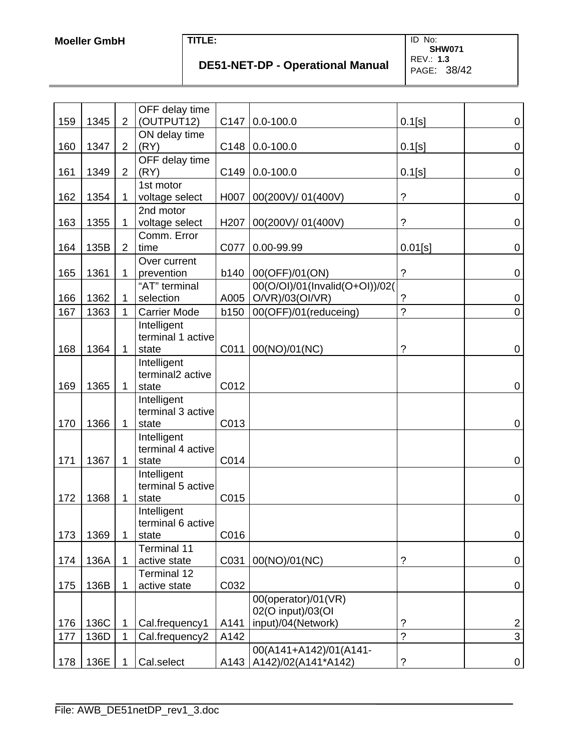ID No:  **SHW071** REV.: **1.3** PAGE: 38/42

|     |      |                | OFF delay time                   |                  |                                |                          |                  |
|-----|------|----------------|----------------------------------|------------------|--------------------------------|--------------------------|------------------|
| 159 | 1345 | $\overline{2}$ | (OUTPUT12)                       | C147             | $0.0 - 100.0$                  | 0.1 s                    | 0                |
|     |      |                | ON delay time                    |                  |                                |                          |                  |
| 160 | 1347 | $\overline{2}$ | (RY)                             | C148             | $0.0 - 100.0$                  | 0.1[s]                   | $\pmb{0}$        |
|     |      |                | OFF delay time                   |                  |                                |                          |                  |
| 161 | 1349 | $\overline{2}$ | (RY)                             | C149             | $0.0 - 100.0$                  | 0.1[s]                   | 0                |
|     |      |                | 1st motor                        |                  |                                |                          |                  |
| 162 | 1354 | 1              | voltage select                   | H007             | 00(200V)/01(400V)              | $\ddot{ }$               | $\boldsymbol{0}$ |
|     |      |                | 2nd motor                        |                  |                                |                          |                  |
| 163 | 1355 | 1              | voltage select                   | H <sub>207</sub> | 00(200V)/ 01(400V)             | $\ddot{ }$               | $\pmb{0}$        |
|     |      |                | Comm. Error                      |                  |                                |                          |                  |
| 164 | 135B | 2              | time                             | C077             | 0.00-99.99                     | 0.01[s]                  | $\pmb{0}$        |
|     |      |                | Over current                     |                  |                                |                          |                  |
| 165 | 1361 | $\mathbf{1}$   | prevention                       | b140             | 00(OFF)/01(ON)                 | $\tilde{?}$              | $\boldsymbol{0}$ |
|     |      |                | "AT" terminal                    |                  | 00(O/OI)/01(Invalid(O+OI))/02( |                          |                  |
| 166 | 1362 | 1              | selection                        | A005             | O/VR)/03(OI/VR)                | $\gamma$                 | $\pmb{0}$        |
| 167 | 1363 | 1              | <b>Carrier Mode</b>              | b150             | 00(OFF)/01(reduceing)          | $\overline{\mathcal{C}}$ | $\mathbf 0$      |
|     |      |                | Intelligent                      |                  |                                |                          |                  |
|     |      |                | terminal 1 active                |                  |                                |                          |                  |
| 168 | 1364 | $\mathbf 1$    | state                            | C011             | 00(NO)/01(NC)                  | ?                        | $\mathbf 0$      |
|     |      |                | Intelligent                      |                  |                                |                          |                  |
|     |      |                | terminal2 active                 |                  |                                |                          |                  |
| 169 | 1365 | 1              | state                            | C012             |                                |                          | $\pmb{0}$        |
|     |      |                | Intelligent                      |                  |                                |                          |                  |
| 170 |      |                | terminal 3 active                | C013             |                                |                          |                  |
|     | 1366 | 1              | state                            |                  |                                |                          | $\boldsymbol{0}$ |
|     |      |                | Intelligent<br>terminal 4 active |                  |                                |                          |                  |
| 171 | 1367 | $\mathbf 1$    | state                            | C014             |                                |                          | $\pmb{0}$        |
|     |      |                | Intelligent                      |                  |                                |                          |                  |
|     |      |                | terminal 5 active                |                  |                                |                          |                  |
| 172 | 1368 | 1              | state                            | C015             |                                |                          | $\mathbf 0$      |
|     |      |                | Intelligent                      |                  |                                |                          |                  |
|     |      |                | terminal 6 active                |                  |                                |                          |                  |
| 173 | 1369 | 1              | state                            | C016             |                                |                          | 0                |
|     |      |                | <b>Terminal 11</b>               |                  |                                |                          |                  |
| 174 | 136A | 1              | active state                     | C031             | 00(NO)/01(NC)                  | ?                        | 0                |
|     |      |                | Terminal 12                      |                  |                                |                          |                  |
| 175 | 136B | 1              | active state                     | C032             |                                |                          | $\boldsymbol{0}$ |
|     |      |                |                                  |                  | 00(operator)/01(VR)            |                          |                  |
|     |      |                |                                  |                  | 02(O input)/03(OI              |                          |                  |
| 176 | 136C | 1              | Cal.frequency1                   | A141             | input)/04(Network)             | ?                        | $\boldsymbol{2}$ |
| 177 | 136D | 1              | Cal.frequency2                   | A142             |                                | $\gamma$                 | $\overline{3}$   |
|     |      |                |                                  |                  | 00(A141+A142)/01(A141-         |                          |                  |
| 178 | 136E | 1              | Cal.select                       | A143             | A142)/02(A141*A142)            | ?                        | 0                |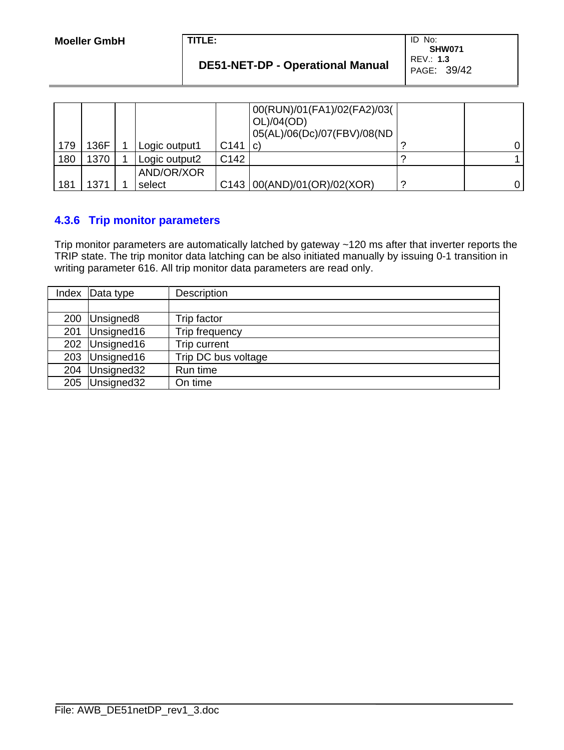<span id="page-38-0"></span>

|     |      |               |                  | 00(RUN)/01(FA1)/02(FA2)/03(<br> OL)/04(OD)<br>05(AL)/06(Dc)/07(FBV)/08(ND |   |
|-----|------|---------------|------------------|---------------------------------------------------------------------------|---|
| 179 | 136F | Logic output1 | C <sub>141</sub> | l C)                                                                      | 0 |
| 180 | 1370 | Logic output2 | C <sub>142</sub> |                                                                           |   |
|     |      | AND/OR/XOR    |                  |                                                                           |   |
| 181 | 1371 | select        |                  | C143   00(AND)/01(OR)/02(XOR)                                             | 0 |

### **4.3.6 Trip monitor parameters**

Trip monitor parameters are automatically latched by gateway ~120 ms after that inverter reports the TRIP state. The trip monitor data latching can be also initiated manually by issuing 0-1 transition in writing parameter 616. All trip monitor data parameters are read only.

|     | Index Data type | Description         |
|-----|-----------------|---------------------|
|     |                 |                     |
|     | 200 Unsigned8   | Trip factor         |
| 201 | Unsigned16      | Trip frequency      |
|     | 202 Unsigned16  | Trip current        |
|     | 203 Unsigned16  | Trip DC bus voltage |
|     | 204 Unsigned32  | Run time            |
|     | 205 Unsigned 32 | On time             |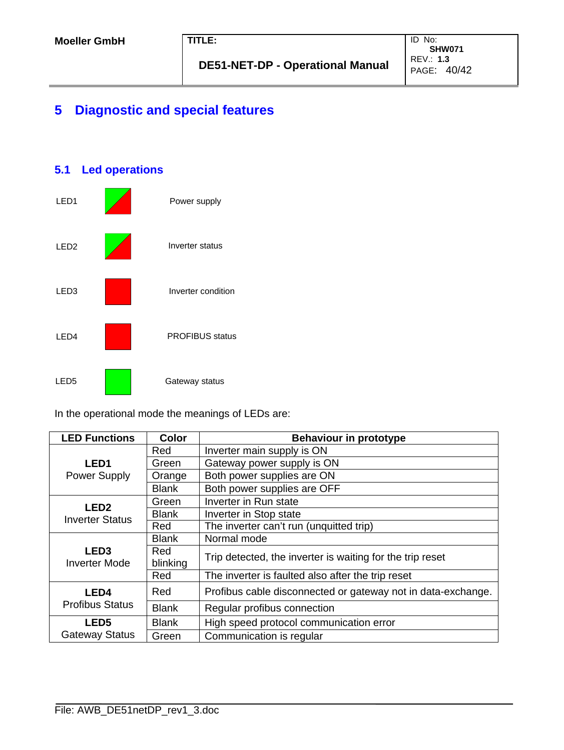# <span id="page-39-0"></span>**5 Diagnostic and special features**

### **5.1 Led operations**



In the operational mode the meanings of LEDs are:

| <b>LED Functions</b>                     | <b>Color</b>           | <b>Behaviour in prototype</b>                                |  |
|------------------------------------------|------------------------|--------------------------------------------------------------|--|
|                                          | Red                    | Inverter main supply is ON                                   |  |
| <b>LED1</b>                              | Green                  | Gateway power supply is ON                                   |  |
| Power Supply                             | Orange                 | Both power supplies are ON                                   |  |
|                                          | <b>Blank</b>           | Both power supplies are OFF                                  |  |
| LED <sub>2</sub>                         | Green                  | Inverter in Run state                                        |  |
| <b>Inverter Status</b>                   | <b>Blank</b>           | Inverter in Stop state                                       |  |
|                                          | Red                    | The inverter can't run (unquitted trip)                      |  |
|                                          | <b>Blank</b>           | Normal mode                                                  |  |
| LED <sub>3</sub><br><b>Inverter Mode</b> | <b>Red</b><br>blinking | Trip detected, the inverter is waiting for the trip reset    |  |
|                                          | Red                    | The inverter is faulted also after the trip reset            |  |
| LED4                                     | Red                    | Profibus cable disconnected or gateway not in data-exchange. |  |
| <b>Profibus Status</b>                   | <b>Blank</b>           | Regular profibus connection                                  |  |
| <b>LED5</b>                              | <b>Blank</b>           | High speed protocol communication error                      |  |
| <b>Gateway Status</b>                    | Green                  | Communication is regular                                     |  |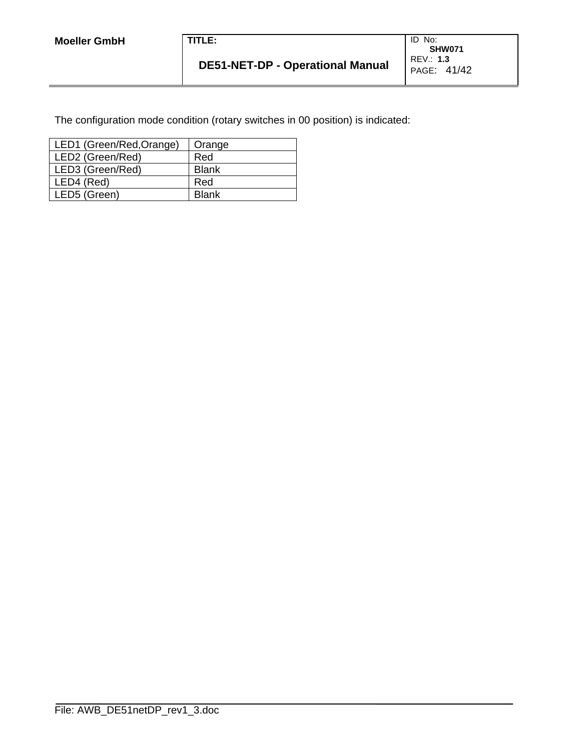The configuration mode condition (rotary switches in 00 position) is indicated:

| LED1 (Green/Red, Orange) | Orange       |
|--------------------------|--------------|
| LED2 (Green/Red)         | Red          |
| LED3 (Green/Red)         | <b>Blank</b> |
| LED4 (Red)               | Red          |
| LED5 (Green)             | <b>Blank</b> |